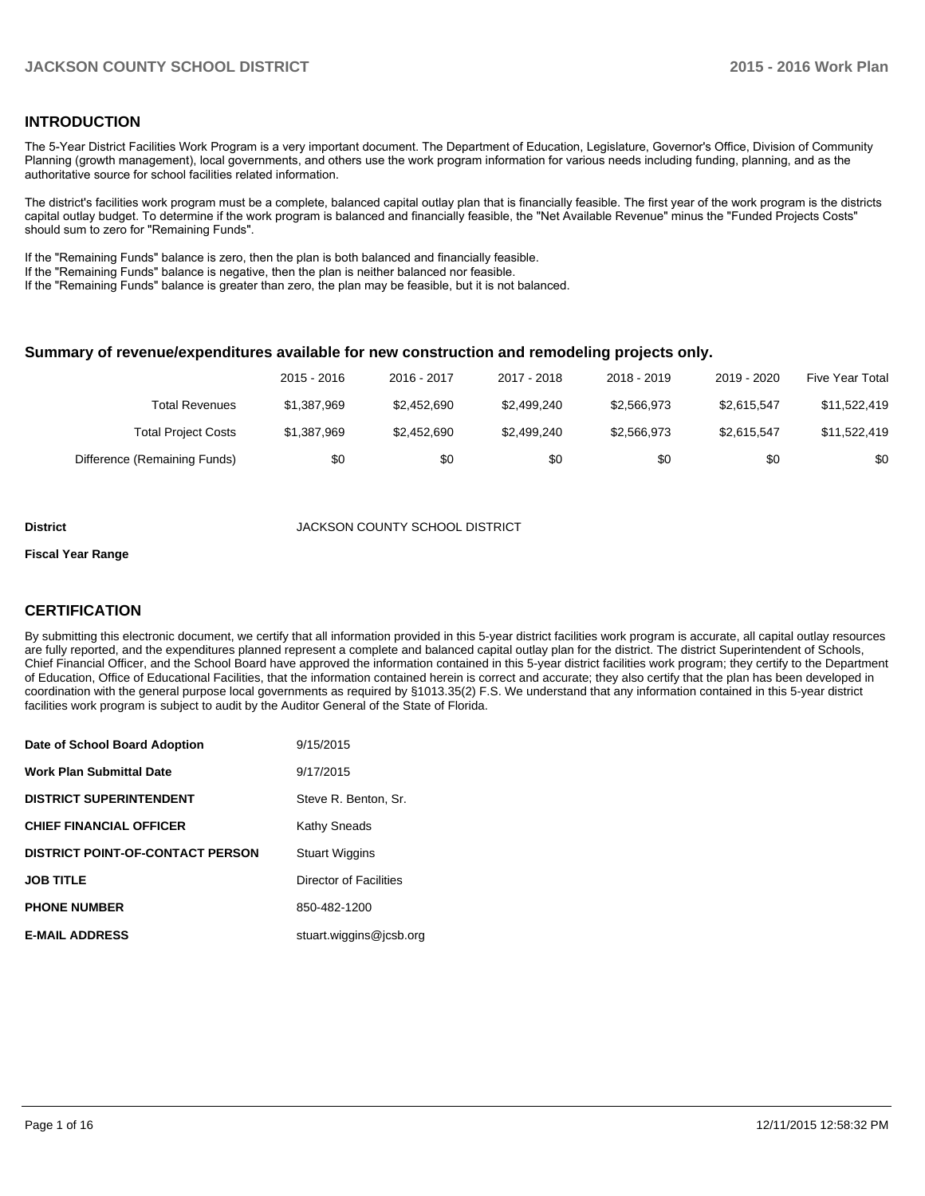# **INTRODUCTION**

The 5-Year District Facilities Work Program is a very important document. The Department of Education, Legislature, Governor's Office, Division of Community Planning (growth management), local governments, and others use the work program information for various needs including funding, planning, and as the authoritative source for school facilities related information.

The district's facilities work program must be a complete, balanced capital outlay plan that is financially feasible. The first year of the work program is the districts capital outlay budget. To determine if the work program is balanced and financially feasible, the "Net Available Revenue" minus the "Funded Projects Costs" should sum to zero for "Remaining Funds".

If the "Remaining Funds" balance is zero, then the plan is both balanced and financially feasible.

If the "Remaining Funds" balance is negative, then the plan is neither balanced nor feasible.

If the "Remaining Funds" balance is greater than zero, the plan may be feasible, but it is not balanced.

#### **Summary of revenue/expenditures available for new construction and remodeling projects only.**

|                              | 2015 - 2016 | 2016 - 2017 | 2017 - 2018 | 2018 - 2019 | 2019 - 2020 | Five Year Total |
|------------------------------|-------------|-------------|-------------|-------------|-------------|-----------------|
| Total Revenues               | \$1.387.969 | \$2.452.690 | \$2.499.240 | \$2,566,973 | \$2.615.547 | \$11,522,419    |
| <b>Total Project Costs</b>   | \$1,387,969 | \$2.452.690 | \$2.499.240 | \$2,566,973 | \$2.615.547 | \$11.522.419    |
| Difference (Remaining Funds) | \$0         | \$0         | \$0         | \$0         | \$0         | \$0             |

#### **District** JACKSON COUNTY SCHOOL DISTRICT

#### **Fiscal Year Range**

# **CERTIFICATION**

By submitting this electronic document, we certify that all information provided in this 5-year district facilities work program is accurate, all capital outlay resources are fully reported, and the expenditures planned represent a complete and balanced capital outlay plan for the district. The district Superintendent of Schools, Chief Financial Officer, and the School Board have approved the information contained in this 5-year district facilities work program; they certify to the Department of Education, Office of Educational Facilities, that the information contained herein is correct and accurate; they also certify that the plan has been developed in coordination with the general purpose local governments as required by §1013.35(2) F.S. We understand that any information contained in this 5-year district facilities work program is subject to audit by the Auditor General of the State of Florida.

| Date of School Board Adoption           | 9/15/2015               |
|-----------------------------------------|-------------------------|
| <b>Work Plan Submittal Date</b>         | 9/17/2015               |
| <b>DISTRICT SUPERINTENDENT</b>          | Steve R. Benton, Sr.    |
| <b>CHIEF FINANCIAL OFFICER</b>          | <b>Kathy Sneads</b>     |
| <b>DISTRICT POINT-OF-CONTACT PERSON</b> | <b>Stuart Wiggins</b>   |
| <b>JOB TITLE</b>                        | Director of Facilities  |
| <b>PHONE NUMBER</b>                     | 850-482-1200            |
| <b>E-MAIL ADDRESS</b>                   | stuart.wiggins@jcsb.org |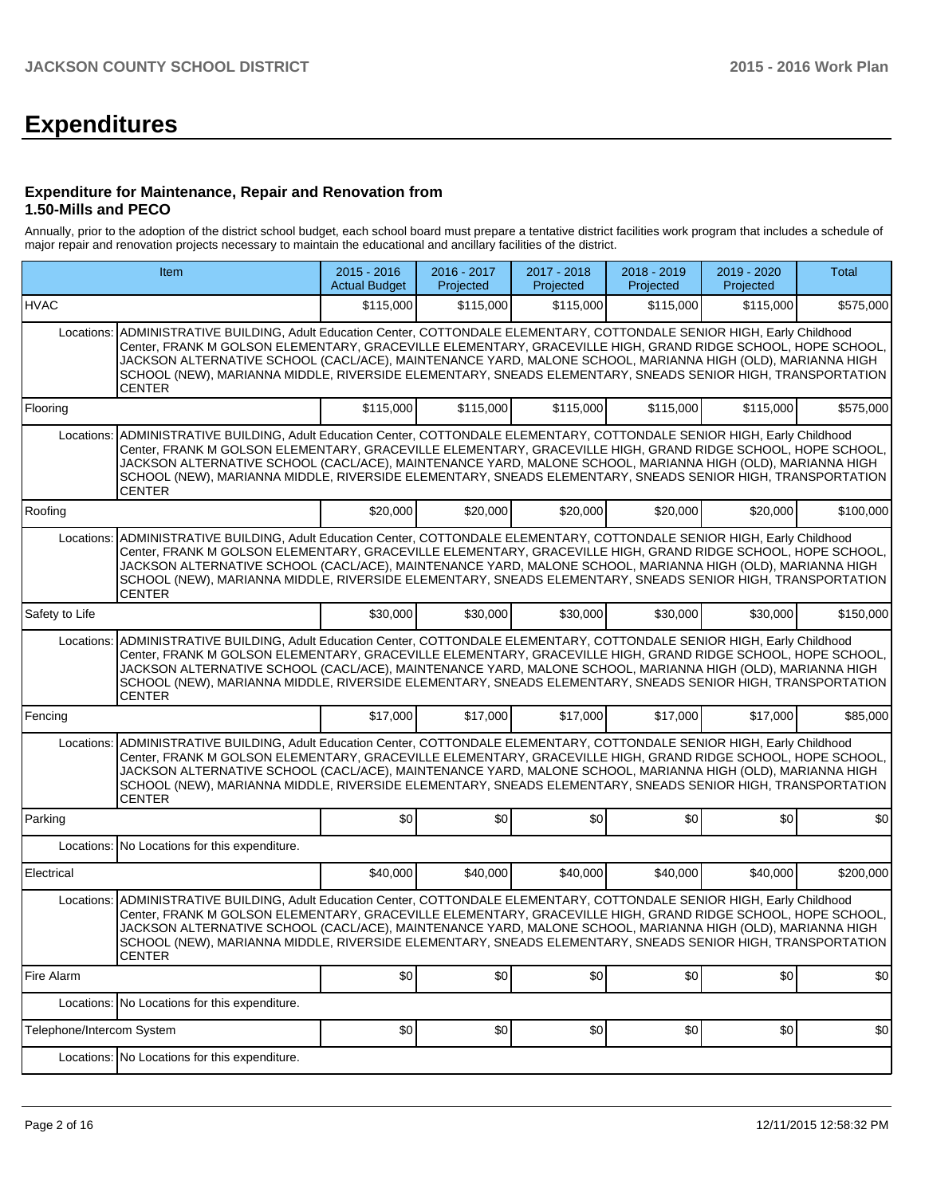# **Expenditures**

#### **Expenditure for Maintenance, Repair and Renovation from 1.50-Mills and PECO**

Annually, prior to the adoption of the district school budget, each school board must prepare a tentative district facilities work program that includes a schedule of major repair and renovation projects necessary to maintain the educational and ancillary facilities of the district.

| Item                      |                                                                                                                                                                                                                                                                                                                                                                                                                                                                             | $2015 - 2016$<br><b>Actual Budget</b> | 2016 - 2017<br>Projected | 2017 - 2018<br>Projected | 2018 - 2019<br>Projected | 2019 - 2020<br>Projected | <b>Total</b> |
|---------------------------|-----------------------------------------------------------------------------------------------------------------------------------------------------------------------------------------------------------------------------------------------------------------------------------------------------------------------------------------------------------------------------------------------------------------------------------------------------------------------------|---------------------------------------|--------------------------|--------------------------|--------------------------|--------------------------|--------------|
| <b>HVAC</b>               |                                                                                                                                                                                                                                                                                                                                                                                                                                                                             | \$115,000                             | \$115,000                | \$115,000                | \$115,000                | \$115,000                | \$575,000    |
| Locations:                | ADMINISTRATIVE BUILDING, Adult Education Center, COTTONDALE ELEMENTARY, COTTONDALE SENIOR HIGH, Early Childhood<br>Center, FRANK M GOLSON ELEMENTARY, GRACEVILLE ELEMENTARY, GRACEVILLE HIGH, GRAND RIDGE SCHOOL, HOPE SCHOOL,<br>JACKSON ALTERNATIVE SCHOOL (CACL/ACE), MAINTENANCE YARD, MALONE SCHOOL, MARIANNA HIGH (OLD), MARIANNA HIGH<br>SCHOOL (NEW), MARIANNA MIDDLE, RIVERSIDE ELEMENTARY, SNEADS ELEMENTARY, SNEADS SENIOR HIGH, TRANSPORTATION<br>CENTER        |                                       |                          |                          |                          |                          |              |
| Flooring                  |                                                                                                                                                                                                                                                                                                                                                                                                                                                                             | \$115,000                             | \$115,000                | \$115,000                | \$115,000                | \$115,000                | \$575,000    |
| Locations:                | ADMINISTRATIVE BUILDING, Adult Education Center, COTTONDALE ELEMENTARY, COTTONDALE SENIOR HIGH, Early Childhood<br>Center, FRANK M GOLSON ELEMENTARY, GRACEVILLE ELEMENTARY, GRACEVILLE HIGH, GRAND RIDGE SCHOOL, HOPE SCHOOL.<br>JACKSON ALTERNATIVE SCHOOL (CACL/ACE), MAINTENANCE YARD, MALONE SCHOOL, MARIANNA HIGH (OLD), MARIANNA HIGH<br>SCHOOL (NEW), MARIANNA MIDDLE, RIVERSIDE ELEMENTARY, SNEADS ELEMENTARY, SNEADS SENIOR HIGH, TRANSPORTATION<br><b>CENTER</b> |                                       |                          |                          |                          |                          |              |
| Roofing                   |                                                                                                                                                                                                                                                                                                                                                                                                                                                                             | \$20,000                              | \$20,000                 | \$20,000                 | \$20,000                 | \$20,000                 | \$100,000    |
| Locations:                | ADMINISTRATIVE BUILDING, Adult Education Center, COTTONDALE ELEMENTARY, COTTONDALE SENIOR HIGH, Early Childhood<br>Center, FRANK M GOLSON ELEMENTARY, GRACEVILLE ELEMENTARY, GRACEVILLE HIGH, GRAND RIDGE SCHOOL, HOPE SCHOOL,<br>JACKSON ALTERNATIVE SCHOOL (CACL/ACE). MAINTENANCE YARD. MALONE SCHOOL. MARIANNA HIGH (OLD). MARIANNA HIGH<br>SCHOOL (NEW), MARIANNA MIDDLE, RIVERSIDE ELEMENTARY, SNEADS ELEMENTARY, SNEADS SENIOR HIGH, TRANSPORTATION<br>CENTER        |                                       |                          |                          |                          |                          |              |
| Safety to Life            |                                                                                                                                                                                                                                                                                                                                                                                                                                                                             | \$30,000                              | \$30,000                 | \$30,000                 | \$30,000                 | \$30,000                 | \$150,000    |
| Locations:                | ADMINISTRATIVE BUILDING, Adult Education Center, COTTONDALE ELEMENTARY, COTTONDALE SENIOR HIGH, Early Childhood<br>Center, FRANK M GOLSON ELEMENTARY, GRACEVILLE ELEMENTARY, GRACEVILLE HIGH, GRAND RIDGE SCHOOL, HOPE SCHOOL,<br>JACKSON ALTERNATIVE SCHOOL (CACL/ACE), MAINTENANCE YARD, MALONE SCHOOL, MARIANNA HIGH (OLD), MARIANNA HIGH<br>SCHOOL (NEW), MARIANNA MIDDLE, RIVERSIDE ELEMENTARY, SNEADS ELEMENTARY, SNEADS SENIOR HIGH, TRANSPORTATION<br>CENTER        |                                       |                          |                          |                          |                          |              |
| Fencing                   |                                                                                                                                                                                                                                                                                                                                                                                                                                                                             | \$17,000                              | \$17,000                 | \$17,000                 | \$17,000                 | \$17,000                 | \$85,000     |
| Locations:                | ADMINISTRATIVE BUILDING, Adult Education Center, COTTONDALE ELEMENTARY, COTTONDALE SENIOR HIGH, Early Childhood<br>Center, FRANK M GOLSON ELEMENTARY, GRACEVILLE ELEMENTARY, GRACEVILLE HIGH, GRAND RIDGE SCHOOL, HOPE SCHOOL.<br>JACKSON ALTERNATIVE SCHOOL (CACL/ACE), MAINTENANCE YARD, MALONE SCHOOL, MARIANNA HIGH (OLD), MARIANNA HIGH<br>SCHOOL (NEW), MARIANNA MIDDLE, RIVERSIDE ELEMENTARY, SNEADS ELEMENTARY, SNEADS SENIOR HIGH, TRANSPORTATION<br><b>CENTER</b> |                                       |                          |                          |                          |                          |              |
| Parking                   |                                                                                                                                                                                                                                                                                                                                                                                                                                                                             | \$0                                   | \$0                      | \$0                      | \$0                      | \$0                      | \$0          |
|                           | Locations: No Locations for this expenditure.                                                                                                                                                                                                                                                                                                                                                                                                                               |                                       |                          |                          |                          |                          |              |
| Electrical                |                                                                                                                                                                                                                                                                                                                                                                                                                                                                             | \$40,000                              | \$40,000                 | \$40,000                 | \$40,000                 | \$40,000                 | \$200,000    |
| Locations:                | ADMINISTRATIVE BUILDING, Adult Education Center, COTTONDALE ELEMENTARY, COTTONDALE SENIOR HIGH, Early Childhood<br>Center, FRANK M GOLSON ELEMENTARY, GRACEVILLE ELEMENTARY, GRACEVILLE HIGH, GRAND RIDGE SCHOOL, HOPE SCHOOL,<br>JACKSON ALTERNATIVE SCHOOL (CACL/ACE), MAINTENANCE YARD, MALONE SCHOOL, MARIANNA HIGH (OLD), MARIANNA HIGH<br>SCHOOL (NEW), MARIANNA MIDDLE, RIVERSIDE ELEMENTARY, SNEADS ELEMENTARY, SNEADS SENIOR HIGH, TRANSPORTATION<br><b>CENTER</b> |                                       |                          |                          |                          |                          |              |
| Fire Alarm                |                                                                                                                                                                                                                                                                                                                                                                                                                                                                             | \$0                                   | \$0                      | \$0]                     | \$0]                     | \$0]                     | \$0          |
|                           | Locations: No Locations for this expenditure.                                                                                                                                                                                                                                                                                                                                                                                                                               |                                       |                          |                          |                          |                          |              |
| Telephone/Intercom System |                                                                                                                                                                                                                                                                                                                                                                                                                                                                             | \$0                                   | \$0                      | \$0]                     | \$0]                     | \$0]                     | \$0          |
|                           | Locations: No Locations for this expenditure.                                                                                                                                                                                                                                                                                                                                                                                                                               |                                       |                          |                          |                          |                          |              |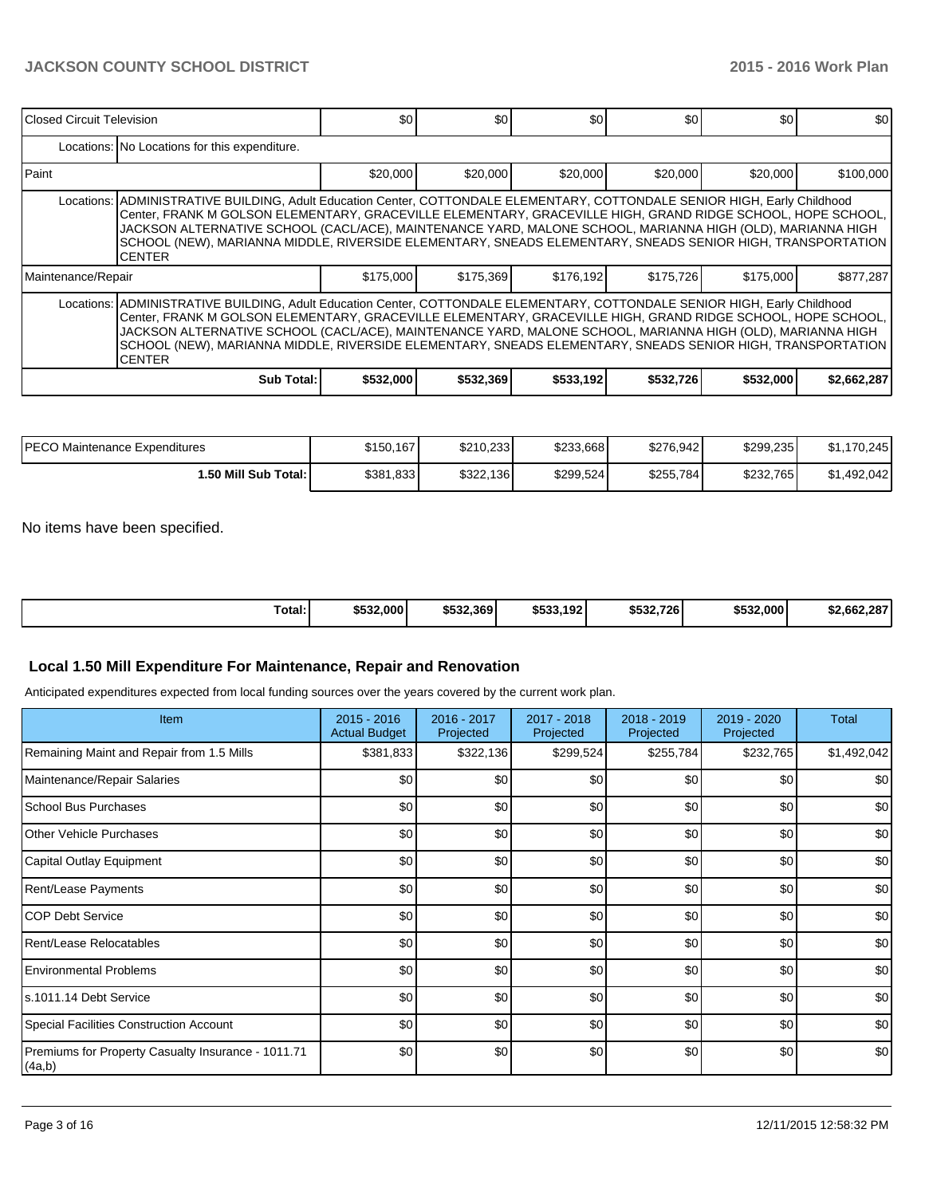| l Closed Circuit Television                                                                                                                                                                                                                                                                                                                                                                                                                                                            |                                                                                                                                                                                                                                                                                                                                                                                                                                                                                        | \$0       | \$0       | \$0       | \$0       | \$0       | \$0         |  |  |  |  |  |
|----------------------------------------------------------------------------------------------------------------------------------------------------------------------------------------------------------------------------------------------------------------------------------------------------------------------------------------------------------------------------------------------------------------------------------------------------------------------------------------|----------------------------------------------------------------------------------------------------------------------------------------------------------------------------------------------------------------------------------------------------------------------------------------------------------------------------------------------------------------------------------------------------------------------------------------------------------------------------------------|-----------|-----------|-----------|-----------|-----------|-------------|--|--|--|--|--|
|                                                                                                                                                                                                                                                                                                                                                                                                                                                                                        | Locations: No Locations for this expenditure.                                                                                                                                                                                                                                                                                                                                                                                                                                          |           |           |           |           |           |             |  |  |  |  |  |
| l Paint                                                                                                                                                                                                                                                                                                                                                                                                                                                                                |                                                                                                                                                                                                                                                                                                                                                                                                                                                                                        | \$20,000  | \$20,000  | \$20,000  | \$20,000  | \$20,000  | \$100,000   |  |  |  |  |  |
|                                                                                                                                                                                                                                                                                                                                                                                                                                                                                        | Locations: ADMINISTRATIVE BUILDING, Adult Education Center, COTTONDALE ELEMENTARY, COTTONDALE SENIOR HIGH, Early Childhood<br>Center, FRANK M GOLSON ELEMENTARY, GRACEVILLE ELEMENTARY, GRACEVILLE HIGH, GRAND RIDGE SCHOOL, HOPE SCHOOL,<br>JACKSON ALTERNATIVE SCHOOL (CACL/ACE), MAINTENANCE YARD, MALONE SCHOOL, MARIANNA HIGH (OLD), MARIANNA HIGH<br>SCHOOL (NEW), MARIANNA MIDDLE, RIVERSIDE ELEMENTARY, SNEADS ELEMENTARY, SNEADS SENIOR HIGH, TRANSPORTATION<br><b>CENTER</b> |           |           |           |           |           |             |  |  |  |  |  |
| Maintenance/Repair                                                                                                                                                                                                                                                                                                                                                                                                                                                                     |                                                                                                                                                                                                                                                                                                                                                                                                                                                                                        | \$175,000 | \$175,369 | \$176,192 | \$175,726 | \$175,000 | \$877,287   |  |  |  |  |  |
| Locations: ADMINISTRATIVE BUILDING, Adult Education Center, COTTONDALE ELEMENTARY, COTTONDALE SENIOR HIGH, Early Childhood<br>Center, FRANK M GOLSON ELEMENTARY, GRACEVILLE ELEMENTARY, GRACEVILLE HIGH, GRAND RIDGE SCHOOL, HOPE SCHOOL,<br>JACKSON ALTERNATIVE SCHOOL (CACL/ACE), MAINTENANCE YARD, MALONE SCHOOL, MARIANNA HIGH (OLD), MARIANNA HIGH<br>SCHOOL (NEW), MARIANNA MIDDLE, RIVERSIDE ELEMENTARY, SNEADS ELEMENTARY, SNEADS SENIOR HIGH, TRANSPORTATION<br><b>CENTER</b> |                                                                                                                                                                                                                                                                                                                                                                                                                                                                                        |           |           |           |           |           |             |  |  |  |  |  |
|                                                                                                                                                                                                                                                                                                                                                                                                                                                                                        | Sub Total:                                                                                                                                                                                                                                                                                                                                                                                                                                                                             | \$532,000 | \$532,369 | \$533,192 | \$532,726 | \$532,000 | \$2,662,287 |  |  |  |  |  |

| <b>IPECO Maintenance Expenditures</b> | \$150,167 | \$210.233 | \$233,668 | \$276.942 | \$299.235 | ,170,245<br>\$1.1 |
|---------------------------------------|-----------|-----------|-----------|-----------|-----------|-------------------|
| ا :50 Mill Sub Total.                 | \$381,833 | \$322.136 | \$299.524 | \$255,784 | \$232.765 | \$1.492.042       |

No items have been specified.

| Total: | \$532,000 | \$532.369 | \$533.<br>.192 l | \$532.726 | \$532,000 | \$2.662.287 |
|--------|-----------|-----------|------------------|-----------|-----------|-------------|

# **Local 1.50 Mill Expenditure For Maintenance, Repair and Renovation**

Anticipated expenditures expected from local funding sources over the years covered by the current work plan.

| Item                                                         | $2015 - 2016$<br><b>Actual Budget</b> | 2016 - 2017<br>Projected | 2017 - 2018<br>Projected | 2018 - 2019<br>Projected | 2019 - 2020<br>Projected | <b>Total</b> |
|--------------------------------------------------------------|---------------------------------------|--------------------------|--------------------------|--------------------------|--------------------------|--------------|
| Remaining Maint and Repair from 1.5 Mills                    | \$381,833                             | \$322,136                | \$299,524                | \$255,784                | \$232,765                | \$1,492,042  |
| Maintenance/Repair Salaries                                  | \$0                                   | \$0                      | \$0                      | \$0                      | \$0                      | \$0          |
| School Bus Purchases                                         | \$0                                   | \$0                      | \$0                      | \$0                      | \$0                      | \$0          |
| Other Vehicle Purchases                                      | \$0                                   | \$0                      | \$0                      | \$0                      | \$0                      | \$0          |
| Capital Outlay Equipment                                     | \$0                                   | \$0                      | \$0                      | \$0                      | \$0                      | \$0          |
| Rent/Lease Payments                                          | \$0                                   | \$0                      | \$0                      | \$0                      | \$0                      | \$0          |
| <b>COP Debt Service</b>                                      | \$0                                   | \$0                      | \$0                      | \$0                      | \$0                      | \$0          |
| Rent/Lease Relocatables                                      | \$0                                   | \$0                      | \$0                      | \$0                      | \$0                      | \$0          |
| <b>Environmental Problems</b>                                | \$0                                   | \$0                      | \$0                      | \$0                      | \$0                      | \$0          |
| s.1011.14 Debt Service                                       | \$0                                   | \$0                      | \$0                      | \$0                      | \$0                      | \$0          |
| Special Facilities Construction Account                      | \$0                                   | \$0                      | \$0                      | \$0                      | \$0                      | \$0          |
| Premiums for Property Casualty Insurance - 1011.71<br>(4a,b) | \$0                                   | \$0                      | \$0                      | \$0                      | \$0                      | \$0          |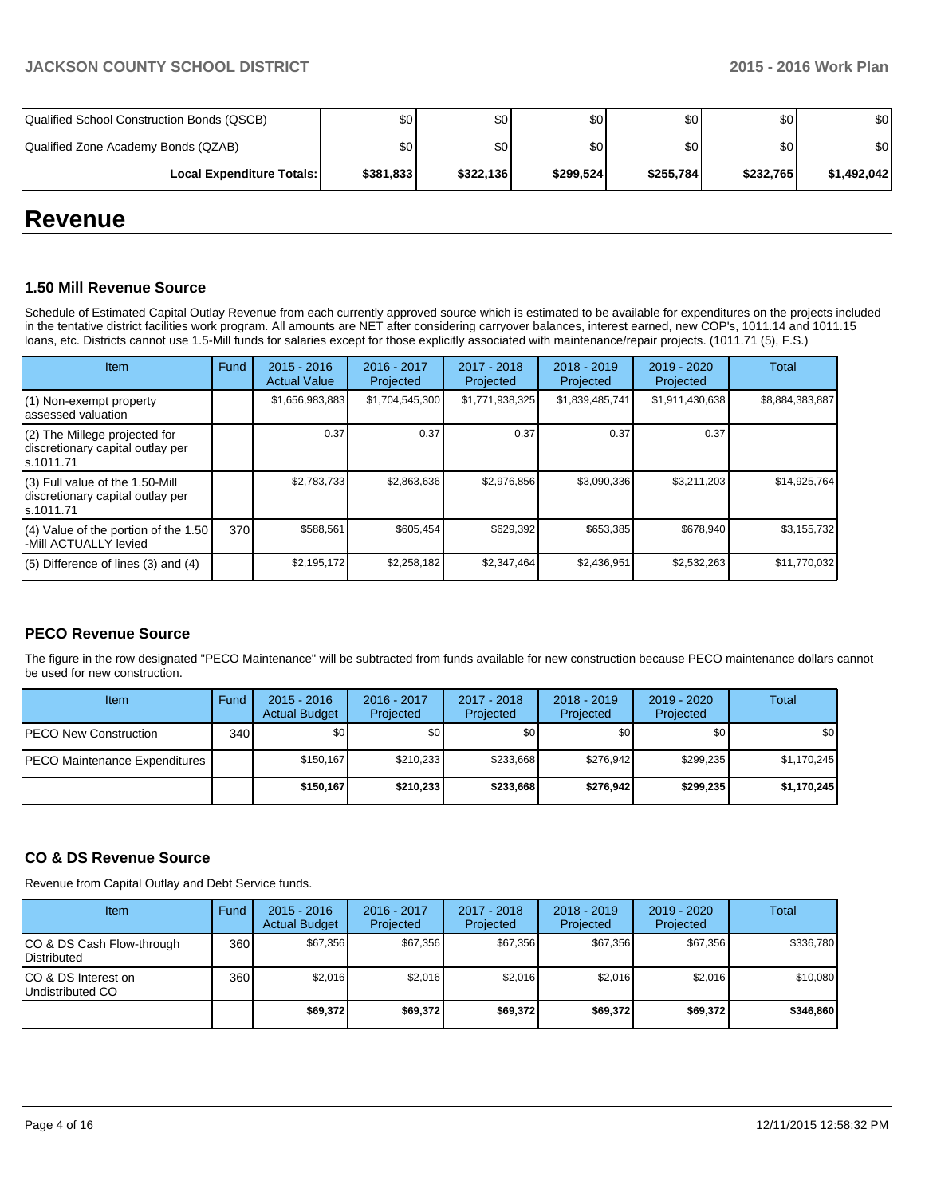| Qualified School Construction Bonds (QSCB) | \$0       | \$0I      | \$0 I     | \$0 <sub>1</sub> | \$0       | \$0         |
|--------------------------------------------|-----------|-----------|-----------|------------------|-----------|-------------|
| Qualified Zone Academy Bonds (QZAB)        | \$0       | \$0 I     | \$0 I     | \$0 <sub>1</sub> | \$0       | \$0         |
| <b>Local Expenditure Totals: I</b>         | \$381,833 | \$322,136 | \$299.524 | \$255,784        | \$232,765 | \$1,492,042 |

# **Revenue**

### **1.50 Mill Revenue Source**

Schedule of Estimated Capital Outlay Revenue from each currently approved source which is estimated to be available for expenditures on the projects included in the tentative district facilities work program. All amounts are NET after considering carryover balances, interest earned, new COP's, 1011.14 and 1011.15 loans, etc. Districts cannot use 1.5-Mill funds for salaries except for those explicitly associated with maintenance/repair projects. (1011.71 (5), F.S.)

| Item                                                                                | Fund | $2015 - 2016$<br><b>Actual Value</b> | $2016 - 2017$<br>Projected | 2017 - 2018<br>Projected | $2018 - 2019$<br>Projected | $2019 - 2020$<br>Projected | Total           |
|-------------------------------------------------------------------------------------|------|--------------------------------------|----------------------------|--------------------------|----------------------------|----------------------------|-----------------|
| $(1)$ Non-exempt property<br>lassessed valuation                                    |      | \$1,656,983,883                      | \$1,704,545,300            | \$1,771,938,325          | \$1,839,485,741            | \$1,911,430,638            | \$8,884,383,887 |
| $(2)$ The Millege projected for<br>discretionary capital outlay per<br>ls.1011.71   |      | 0.37                                 | 0.37                       | 0.37                     | 0.37                       | 0.37                       |                 |
| $(3)$ Full value of the 1.50-Mill<br>discretionary capital outlay per<br>ls.1011.71 |      | \$2,783,733                          | \$2,863,636                | \$2,976,856              | \$3,090,336                | \$3,211,203                | \$14,925,764    |
| $(4)$ Value of the portion of the 1.50<br>-Mill ACTUALLY levied                     | 370  | \$588,561                            | \$605,454                  | \$629,392                | \$653,385                  | \$678,940                  | \$3,155,732     |
| $(5)$ Difference of lines $(3)$ and $(4)$                                           |      | \$2,195,172                          | \$2,258,182                | \$2,347,464              | \$2,436,951                | \$2,532,263                | \$11,770,032    |

# **PECO Revenue Source**

The figure in the row designated "PECO Maintenance" will be subtracted from funds available for new construction because PECO maintenance dollars cannot be used for new construction.

| <b>Item</b>                   | Fund | $2015 - 2016$<br><b>Actual Budget</b> | 2016 - 2017<br>Projected | 2017 - 2018<br><b>Projected</b> | $2018 - 2019$<br>Projected | 2019 - 2020<br>Projected | Total       |
|-------------------------------|------|---------------------------------------|--------------------------|---------------------------------|----------------------------|--------------------------|-------------|
| IPECO New Construction        | 340  | \$0                                   | \$0 I                    | \$0                             | \$OI                       | \$0 <sub>1</sub>         | \$0         |
| PECO Maintenance Expenditures |      | \$150.167                             | \$210.233                | \$233.668                       | \$276.942                  | \$299.235                | \$1,170,245 |
|                               |      | \$150.167                             | \$210.233                | \$233,668                       | \$276.942                  | \$299,235                | \$1,170,245 |

# **CO & DS Revenue Source**

Revenue from Capital Outlay and Debt Service funds.

| <b>Item</b>                                     | Fund | $2015 - 2016$<br><b>Actual Budget</b> | 2016 - 2017<br>Projected | 2017 - 2018<br>Projected | $2018 - 2019$<br>Projected | $2019 - 2020$<br>Projected | Total     |
|-------------------------------------------------|------|---------------------------------------|--------------------------|--------------------------|----------------------------|----------------------------|-----------|
| CO & DS Cash Flow-through<br><b>Distributed</b> | 360  | \$67.356                              | \$67.356                 | \$67.356                 | \$67.356                   | \$67,356                   | \$336,780 |
| CO & DS Interest on<br>Undistributed CO         | 360  | \$2,016                               | \$2,016                  | \$2,016                  | \$2.016                    | \$2,016                    | \$10,080  |
|                                                 |      | \$69,372                              | \$69,372                 | \$69,372                 | \$69,372                   | \$69,372                   | \$346,860 |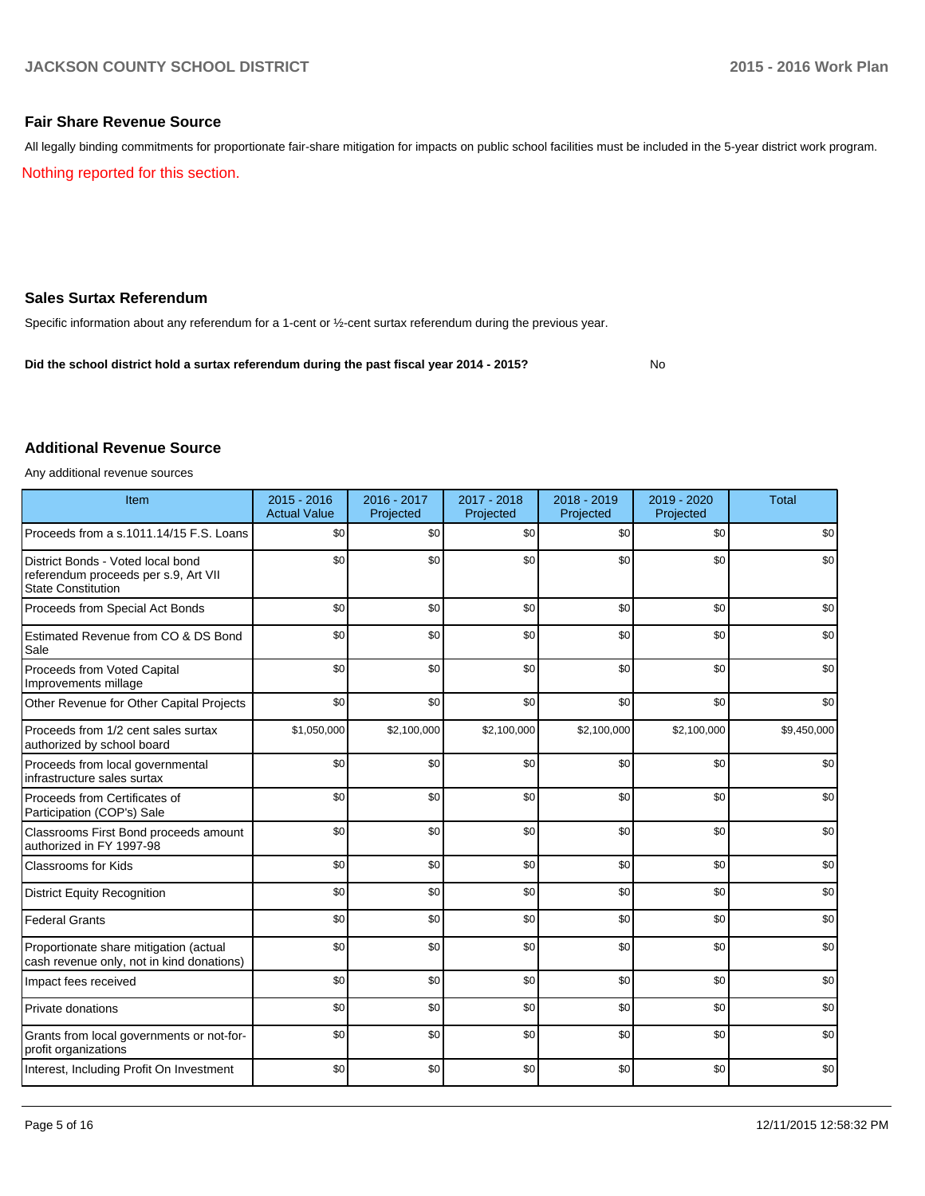# **Fair Share Revenue Source**

Nothing reported for this section. All legally binding commitments for proportionate fair-share mitigation for impacts on public school facilities must be included in the 5-year district work program.

# **Sales Surtax Referendum**

Specific information about any referendum for a 1-cent or ½-cent surtax referendum during the previous year.

**Did the school district hold a surtax referendum during the past fiscal year 2014 - 2015?**

No

# **Additional Revenue Source**

Any additional revenue sources

| Item                                                                                                   | 2015 - 2016<br><b>Actual Value</b> | 2016 - 2017<br>Projected | 2017 - 2018<br>Projected | 2018 - 2019<br>Projected | 2019 - 2020<br>Projected | <b>Total</b> |
|--------------------------------------------------------------------------------------------------------|------------------------------------|--------------------------|--------------------------|--------------------------|--------------------------|--------------|
| Proceeds from a s.1011.14/15 F.S. Loans                                                                | \$0                                | \$0                      | \$0                      | \$0                      | \$0                      | \$0          |
| District Bonds - Voted local bond<br>referendum proceeds per s.9, Art VII<br><b>State Constitution</b> | \$0                                | \$0                      | \$0                      | \$0                      | \$0                      | \$0          |
| Proceeds from Special Act Bonds                                                                        | \$0                                | \$0                      | \$0                      | \$0                      | \$0                      | \$0          |
| Estimated Revenue from CO & DS Bond<br>Sale                                                            | \$0                                | \$0                      | \$0                      | \$0                      | \$0                      | \$0          |
| Proceeds from Voted Capital<br>Improvements millage                                                    | \$0                                | \$0                      | \$0                      | \$0                      | \$0                      | \$0          |
| Other Revenue for Other Capital Projects                                                               | \$0                                | \$0                      | \$0                      | \$0                      | \$0                      | \$0          |
| Proceeds from 1/2 cent sales surtax<br>authorized by school board                                      | \$1,050,000                        | \$2,100,000              | \$2,100,000              | \$2,100,000              | \$2,100,000              | \$9,450,000  |
| Proceeds from local governmental<br>infrastructure sales surtax                                        | \$0                                | \$0                      | \$0                      | \$0                      | \$0                      | \$0          |
| Proceeds from Certificates of<br>Participation (COP's) Sale                                            | \$0                                | \$0                      | \$0                      | \$0                      | \$0                      | \$0          |
| Classrooms First Bond proceeds amount<br>authorized in FY 1997-98                                      | \$0                                | \$0                      | \$0                      | \$0                      | \$0                      | \$0          |
| <b>Classrooms for Kids</b>                                                                             | \$0                                | \$0                      | \$0                      | \$0                      | \$0                      | \$0          |
| <b>District Equity Recognition</b>                                                                     | \$0                                | \$0                      | \$0                      | \$0                      | \$0                      | \$0          |
| <b>Federal Grants</b>                                                                                  | \$0                                | \$0                      | \$0                      | \$0                      | \$0                      | \$0          |
| Proportionate share mitigation (actual<br>cash revenue only, not in kind donations)                    | \$0                                | \$0                      | \$0                      | \$0                      | \$0                      | \$0          |
| Impact fees received                                                                                   | \$0                                | \$0                      | \$0                      | \$0                      | \$0                      | \$0          |
| Private donations                                                                                      | \$0                                | \$0                      | \$0                      | \$0                      | \$0                      | \$0          |
| Grants from local governments or not-for-<br>profit organizations                                      | \$0                                | \$0                      | \$0                      | \$0                      | \$0                      | \$0          |
| Interest, Including Profit On Investment                                                               | \$0                                | \$0                      | \$0                      | \$0                      | \$0                      | \$0          |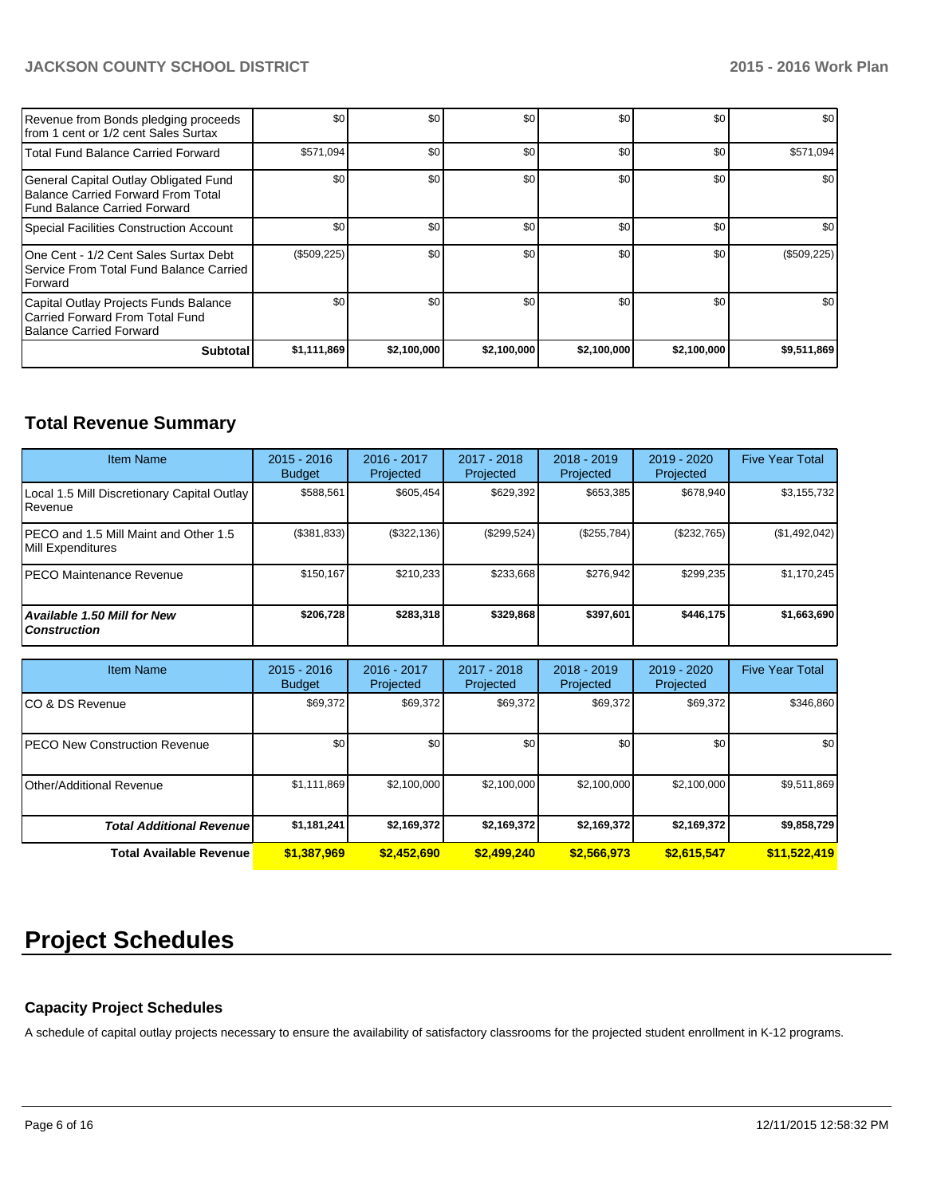# **JACKSON COUNTY SCHOOL DISTRICT 2015 - 2016 Work Plan**

| Revenue from Bonds pledging proceeds<br>Ifrom 1 cent or 1/2 cent Sales Surtax                               | \$0         | \$0         | \$0         | \$0         | \$0         | \$0         |
|-------------------------------------------------------------------------------------------------------------|-------------|-------------|-------------|-------------|-------------|-------------|
| Total Fund Balance Carried Forward                                                                          | \$571,094   | \$0         | \$0         | \$0         | \$0         | \$571,094   |
| General Capital Outlay Obligated Fund<br>Balance Carried Forward From Total<br>Fund Balance Carried Forward | \$0         | \$0         | \$0         | \$0         | \$0         | \$0         |
| Special Facilities Construction Account                                                                     | \$0         | \$0         | \$0         | \$0         | \$0         | \$0         |
| IOne Cent - 1/2 Cent Sales Surtax Debt<br>Service From Total Fund Balance Carried<br><b>IForward</b>        | (\$509,225) | \$0         | \$0         | \$0         | \$0         | (\$509,225) |
| Capital Outlay Projects Funds Balance<br>l Carried Forward From Total Fund<br>Balance Carried Forward       | \$0         | \$0         | \$0         | \$0         | \$0         | \$0         |
| <b>Subtotal</b>                                                                                             | \$1,111,869 | \$2,100,000 | \$2,100,000 | \$2,100,000 | \$2,100,000 | \$9,511,869 |

# **Total Revenue Summary**

| <b>Item Name</b>                                           | $2015 - 2016$<br><b>Budget</b> | $2016 - 2017$<br>Projected | 2017 - 2018<br>Projected | $2018 - 2019$<br>Projected | $2019 - 2020$<br>Projected | <b>Five Year Total</b> |
|------------------------------------------------------------|--------------------------------|----------------------------|--------------------------|----------------------------|----------------------------|------------------------|
| Local 1.5 Mill Discretionary Capital Outlay<br>Revenue     | \$588.561                      | \$605.454                  | \$629.392                | \$653.385                  | \$678.940                  | \$3,155,732            |
| PECO and 1.5 Mill Maint and Other 1.5<br>Mill Expenditures | (\$381,833)                    | (S322.136)                 | (\$299,524)              | (S255,784)                 | (\$232,765)                | (\$1,492,042)          |
| IPECO Maintenance Revenue                                  | \$150.167                      | \$210,233                  | \$233.668                | \$276.942                  | \$299.235                  | \$1,170,245            |
| <b>Available 1.50 Mill for New</b><br><b>Construction</b>  | \$206,728                      | \$283,318                  | \$329.868                | \$397,601                  | \$446.175                  | \$1,663,690            |

| <b>Item Name</b>                 | $2015 - 2016$<br><b>Budget</b> | 2016 - 2017<br>Projected | 2017 - 2018<br>Projected | $2018 - 2019$<br>Projected | 2019 - 2020<br>Projected | <b>Five Year Total</b> |
|----------------------------------|--------------------------------|--------------------------|--------------------------|----------------------------|--------------------------|------------------------|
| ICO & DS Revenue                 | \$69,372                       | \$69,372                 | \$69,372                 | \$69,372                   | \$69,372                 | \$346,860              |
| IPECO New Construction Revenue   | \$0                            | \$0                      | \$0                      | \$0                        | \$0                      | \$0                    |
| <b>Other/Additional Revenue</b>  | \$1,111,869                    | \$2,100,000              | \$2,100,000              | \$2,100,000                | \$2,100,000              | \$9,511,869            |
| <b>Total Additional Revenuel</b> | \$1,181,241                    | \$2,169,372              | \$2,169,372              | \$2,169,372                | \$2,169,372              | \$9,858,729            |
| <b>Total Available Revenue</b>   | \$1,387,969                    | \$2,452,690              | \$2,499,240              | \$2,566,973                | \$2,615,547              | \$11,522,419           |

# **Project Schedules**

# **Capacity Project Schedules**

A schedule of capital outlay projects necessary to ensure the availability of satisfactory classrooms for the projected student enrollment in K-12 programs.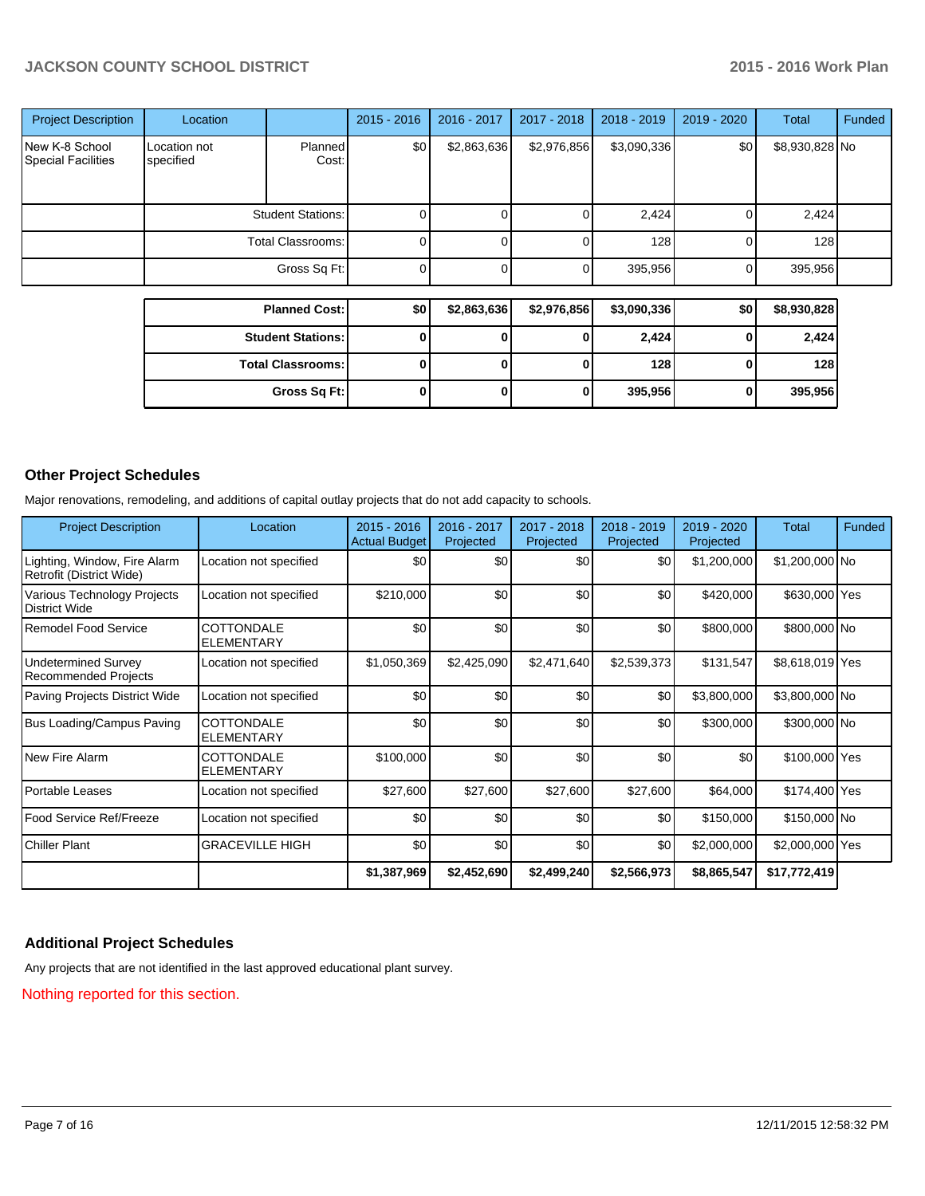# **JACKSON COUNTY SCHOOL DISTRICT 2015 - 2016 Work Plan**

| <b>Project Description</b>                  | Location                  |                  | $2015 - 2016$ | 2016 - 2017 | 2017 - 2018 | 2018 - 2019    | 2019 - 2020  | <b>Total</b>   | Funded |
|---------------------------------------------|---------------------------|------------------|---------------|-------------|-------------|----------------|--------------|----------------|--------|
| New K-8 School<br><b>Special Facilities</b> | Location not<br>specified | Planned<br>Cost: | \$0           | \$2,863,636 | \$2,976,856 | \$3,090,336    | \$0          | \$8,930,828 No |        |
|                                             | <b>Student Stations:</b>  |                  |               |             |             | 2,424          | 0            | 2,424          |        |
|                                             | <b>Total Classrooms:</b>  |                  |               |             |             | 128            | 0            | 128            |        |
|                                             |                           | $\Omega$         |               | 0           | 395,956     | $\overline{0}$ | 395,956      |                |        |
|                                             |                           |                  |               |             |             |                |              |                |        |
|                                             | <b>Planned Cost:</b>      |                  | \$0           | \$2,863,636 | \$2,976,856 | \$3,090,336    | \$0          | \$8,930,828    |        |
|                                             | <b>Student Stations:</b>  |                  | 0             |             | 0           | 2,424          | $\bf{0}$     | 2,424          |        |
|                                             | <b>Total Classrooms:</b>  |                  | $\bf{0}$      | 0           | 0           | 128            | $\mathbf{0}$ | 128            |        |

**Gross Sq Ft: 0 0 0 395,956 0 395,956**

# **Other Project Schedules**

Major renovations, remodeling, and additions of capital outlay projects that do not add capacity to schools.

| <b>Project Description</b>                               | Location                               | $2015 - 2016$<br><b>Actual Budget</b> | 2016 - 2017<br>Projected | 2017 - 2018<br>Projected | 2018 - 2019<br>Projected | 2019 - 2020<br>Projected | Total           | <b>Funded</b> |
|----------------------------------------------------------|----------------------------------------|---------------------------------------|--------------------------|--------------------------|--------------------------|--------------------------|-----------------|---------------|
| Lighting, Window, Fire Alarm<br>Retrofit (District Wide) | Location not specified                 | \$0                                   | \$0                      | \$0                      | \$0                      | \$1,200,000              | \$1,200,000 No  |               |
| Various Technology Projects<br>District Wide             | Location not specified                 | \$210,000                             | \$0                      | \$0                      | \$0                      | \$420,000                | \$630,000 Yes   |               |
| l Remodel Food Service                                   | <b>COTTONDALE</b><br><b>ELEMENTARY</b> | \$0                                   | \$0                      | \$0                      | \$0                      | \$800,000                | \$800,000 No    |               |
| <b>Undetermined Survey</b><br>Recommended Projects       | Location not specified                 | \$1,050,369                           | \$2,425,090              | \$2,471,640              | \$2,539,373              | \$131,547                | \$8,618,019 Yes |               |
| Paving Projects District Wide                            | Location not specified                 | \$0                                   | \$0                      | \$0                      | \$0                      | \$3,800,000              | \$3,800,000 No  |               |
| Bus Loading/Campus Paving                                | <b>COTTONDALE</b><br><b>ELEMENTARY</b> | \$0                                   | \$0                      | \$0                      | \$0                      | \$300,000                | \$300,000 No    |               |
| New Fire Alarm                                           | <b>COTTONDALE</b><br><b>ELEMENTARY</b> | \$100,000                             | \$0                      | \$0                      | \$0                      | \$0                      | \$100,000 Yes   |               |
| Portable Leases                                          | Location not specified                 | \$27,600                              | \$27,600                 | \$27,600                 | \$27,600                 | \$64,000                 | \$174,400 Yes   |               |
| l Food Service Ref/Freeze                                | Location not specified                 | \$0                                   | \$0                      | \$0                      | \$0                      | \$150,000                | \$150,000 No    |               |
| <b>Chiller Plant</b>                                     | <b>GRACEVILLE HIGH</b>                 | \$0                                   | \$0                      | \$0                      | \$0                      | \$2,000,000              | \$2,000,000 Yes |               |
|                                                          |                                        | \$1,387,969                           | \$2,452,690              | \$2,499,240              | \$2,566,973              | \$8,865,547              | \$17,772,419    |               |

# **Additional Project Schedules**

Any projects that are not identified in the last approved educational plant survey.

Nothing reported for this section.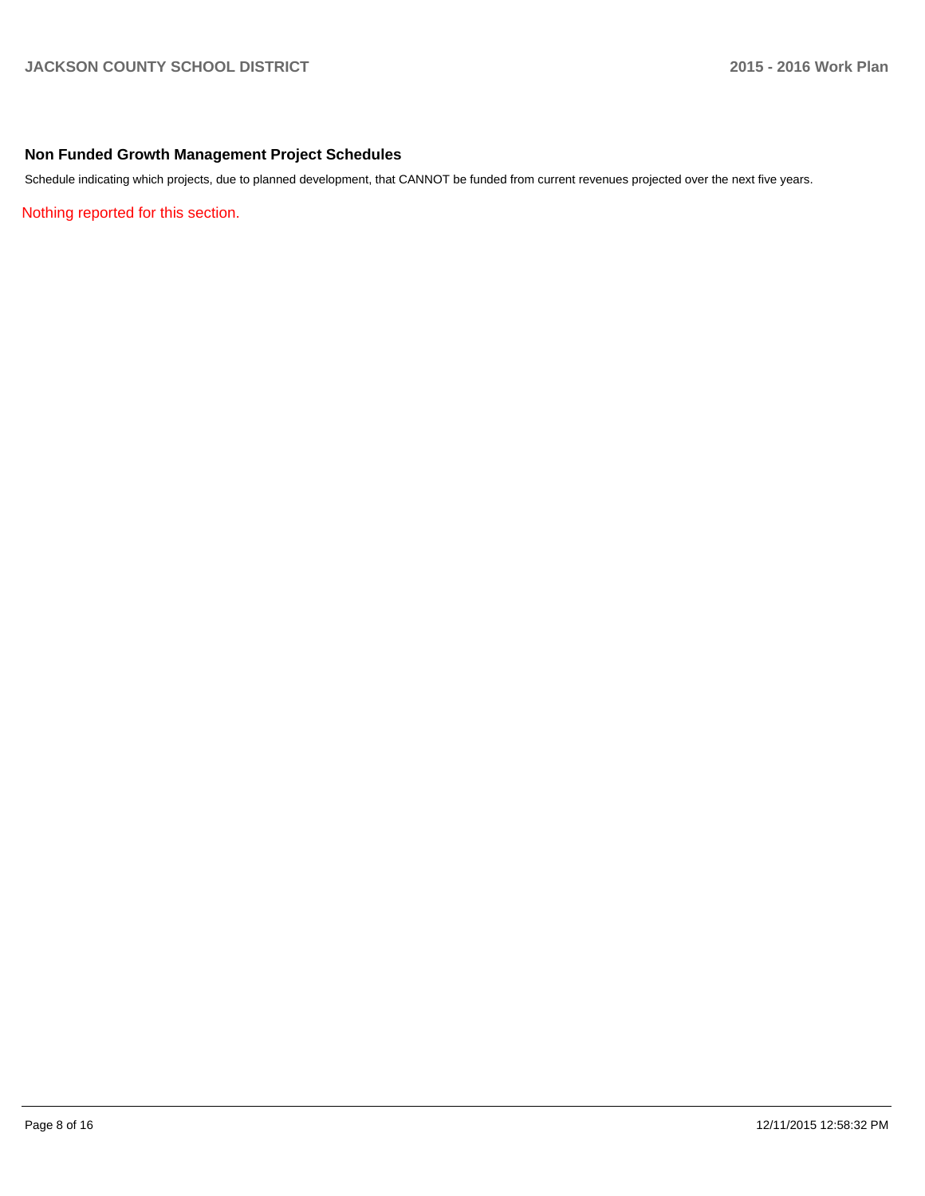# **Non Funded Growth Management Project Schedules**

Schedule indicating which projects, due to planned development, that CANNOT be funded from current revenues projected over the next five years.

Nothing reported for this section.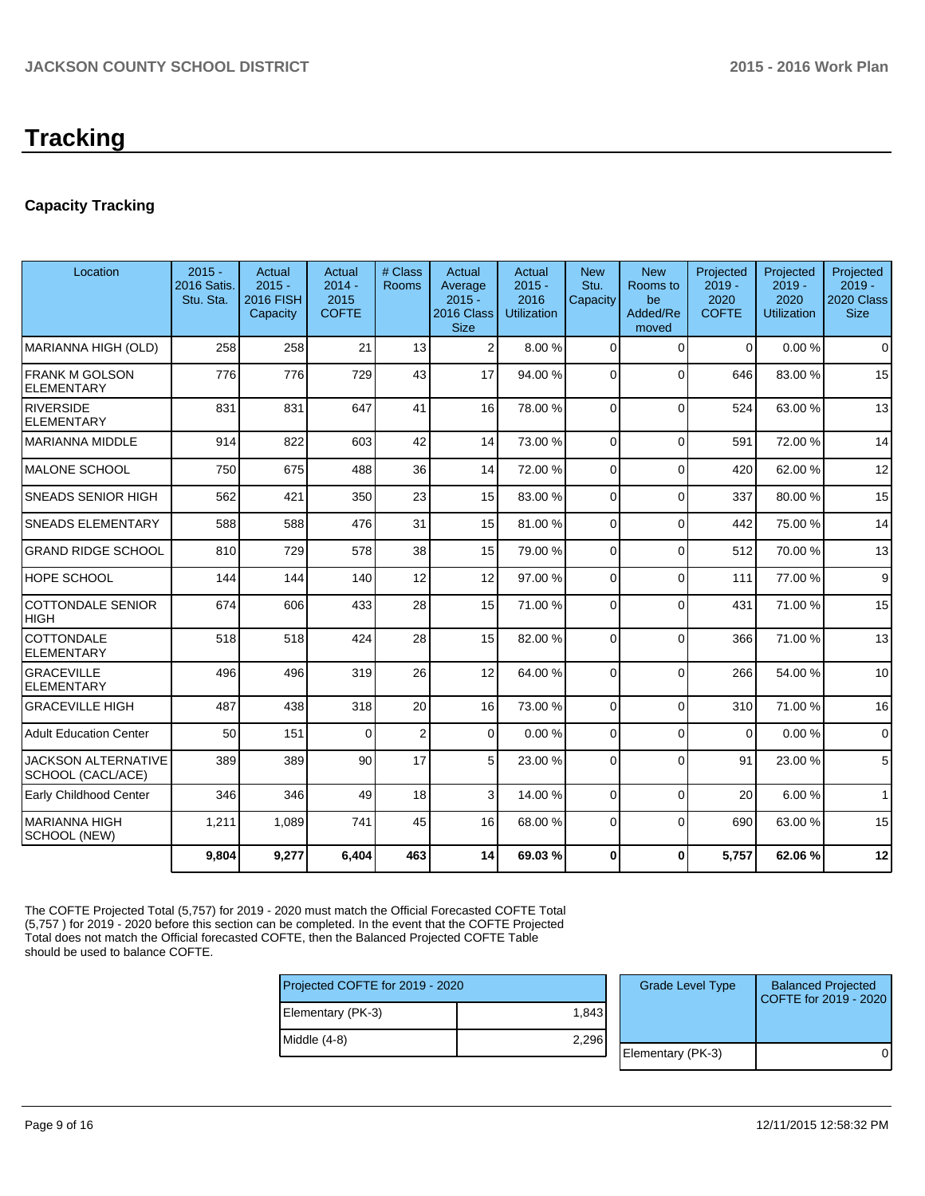# **Capacity Tracking**

| Location                                        | $2015 -$<br>2016 Satis.<br>Stu. Sta. | Actual<br>$2015 -$<br>2016 FISH<br>Capacity | Actual<br>$2014 -$<br>2015<br><b>COFTE</b> | # Class<br><b>Rooms</b> | Actual<br>Average<br>$2015 -$<br>2016 Class<br><b>Size</b> | Actual<br>$2015 -$<br>2016<br><b>Utilization</b> | <b>New</b><br>Stu.<br>Capacity | <b>New</b><br>Rooms to<br>be<br>Added/Re<br>moved | Projected<br>$2019 -$<br>2020<br><b>COFTE</b> | Projected<br>$2019 -$<br>2020<br><b>Utilization</b> | Projected<br>$2019 -$<br>2020 Class<br><b>Size</b> |
|-------------------------------------------------|--------------------------------------|---------------------------------------------|--------------------------------------------|-------------------------|------------------------------------------------------------|--------------------------------------------------|--------------------------------|---------------------------------------------------|-----------------------------------------------|-----------------------------------------------------|----------------------------------------------------|
| MARIANNA HIGH (OLD)                             | 258                                  | 258                                         | 21                                         | 13                      | $\overline{2}$                                             | 8.00 %                                           | $\Omega$                       | $\Omega$                                          | $\Omega$                                      | 0.00%                                               | $\mathbf 0$                                        |
| <b>FRANK M GOLSON</b><br><b>ELEMENTARY</b>      | 776                                  | 776                                         | 729                                        | 43                      | 17                                                         | 94.00 %                                          | $\Omega$                       | $\Omega$                                          | 646                                           | 83.00 %                                             | 15                                                 |
| <b>RIVERSIDE</b><br><b>ELEMENTARY</b>           | 831                                  | 831                                         | 647                                        | 41                      | 16                                                         | 78.00 %                                          | $\Omega$                       | $\Omega$                                          | 524                                           | 63.00%                                              | 13                                                 |
| <b>MARIANNA MIDDLE</b>                          | 914                                  | 822                                         | 603                                        | 42                      | 14                                                         | 73.00 %                                          | $\Omega$                       | $\Omega$                                          | 591                                           | 72.00 %                                             | 14                                                 |
| <b>MALONE SCHOOL</b>                            | 750                                  | 675                                         | 488                                        | 36                      | 14                                                         | 72.00 %                                          | $\Omega$                       | $\Omega$                                          | 420                                           | 62.00%                                              | 12                                                 |
| <b>SNEADS SENIOR HIGH</b>                       | 562                                  | 421                                         | 350                                        | 23                      | 15                                                         | 83.00 %                                          | $\Omega$                       | $\Omega$                                          | 337                                           | 80.00%                                              | 15                                                 |
| <b>SNEADS ELEMENTARY</b>                        | 588                                  | 588                                         | 476                                        | 31                      | 15                                                         | 81.00 %                                          | $\Omega$                       | $\Omega$                                          | 442                                           | 75.00 %                                             | 14                                                 |
| <b>GRAND RIDGE SCHOOL</b>                       | 810                                  | 729                                         | 578                                        | 38                      | 15                                                         | 79.00 %                                          | $\Omega$                       | $\Omega$                                          | 512                                           | 70.00%                                              | 13                                                 |
| HOPE SCHOOL                                     | 144                                  | 144                                         | 140                                        | 12                      | 12                                                         | 97.00 %                                          | $\Omega$                       | $\Omega$                                          | 111                                           | 77.00 %                                             | 9                                                  |
| <b>COTTONDALE SENIOR</b><br><b>HIGH</b>         | 674                                  | 606                                         | 433                                        | 28                      | 15                                                         | 71.00 %                                          | $\Omega$                       | $\Omega$                                          | 431                                           | 71.00%                                              | 15                                                 |
| COTTONDALE<br><b>ELEMENTARY</b>                 | 518                                  | 518                                         | 424                                        | 28                      | 15                                                         | 82.00 %                                          | $\Omega$                       | $\Omega$                                          | 366                                           | 71.00%                                              | 13                                                 |
| <b>GRACEVILLE</b><br><b>ELEMENTARY</b>          | 496                                  | 496                                         | 319                                        | 26                      | 12                                                         | 64.00 %                                          | $\Omega$                       | $\Omega$                                          | 266                                           | 54.00%                                              | 10                                                 |
| <b>GRACEVILLE HIGH</b>                          | 487                                  | 438                                         | 318                                        | 20                      | 16                                                         | 73.00 %                                          | $\Omega$                       | $\Omega$                                          | 310                                           | 71.00%                                              | 16                                                 |
| <b>Adult Education Center</b>                   | 50                                   | 151                                         | $\Omega$                                   | $\overline{c}$          | $\overline{0}$                                             | 0.00%                                            | $\Omega$                       | $\Omega$                                          | 0                                             | 0.00%                                               | 0                                                  |
| <b>JACKSON ALTERNATIVE</b><br>SCHOOL (CACL/ACE) | 389                                  | 389                                         | 90                                         | 17                      | 5 <sup>1</sup>                                             | 23.00 %                                          | $\Omega$                       | $\Omega$                                          | 91                                            | 23.00 %                                             | 5                                                  |
| Early Childhood Center                          | 346                                  | 346                                         | 49                                         | 18                      | 3                                                          | 14.00 %                                          | $\Omega$                       | $\Omega$                                          | 20                                            | 6.00%                                               | $\mathbf{1}$                                       |
| <b>MARIANNA HIGH</b><br>SCHOOL (NEW)            | 1,211                                | 1,089                                       | 741                                        | 45                      | 16                                                         | 68.00 %                                          | $\Omega$                       | $\Omega$                                          | 690                                           | 63.00%                                              | 15                                                 |
|                                                 | 9,804                                | 9,277                                       | 6,404                                      | 463                     | 14                                                         | 69.03%                                           | $\bf{0}$                       | $\Omega$                                          | 5,757                                         | 62.06%                                              | 12                                                 |

The COFTE Projected Total (5,757) for 2019 - 2020 must match the Official Forecasted COFTE Total (5,757 ) for 2019 - 2020 before this section can be completed. In the event that the COFTE Projected Total does not match the Official forecasted COFTE, then the Balanced Projected COFTE Table should be used to balance COFTE.

| Projected COFTE for 2019 - 2020 |       | <b>Grade Level Type</b> | <b>Balanced Projected</b><br>COFTE for 2019 - 2020 |
|---------------------------------|-------|-------------------------|----------------------------------------------------|
| Elementary (PK-3)               | 1.843 |                         |                                                    |
| Middle (4-8)                    | 2.296 |                         |                                                    |
|                                 |       | Elementary (PK-3)       |                                                    |
|                                 |       |                         |                                                    |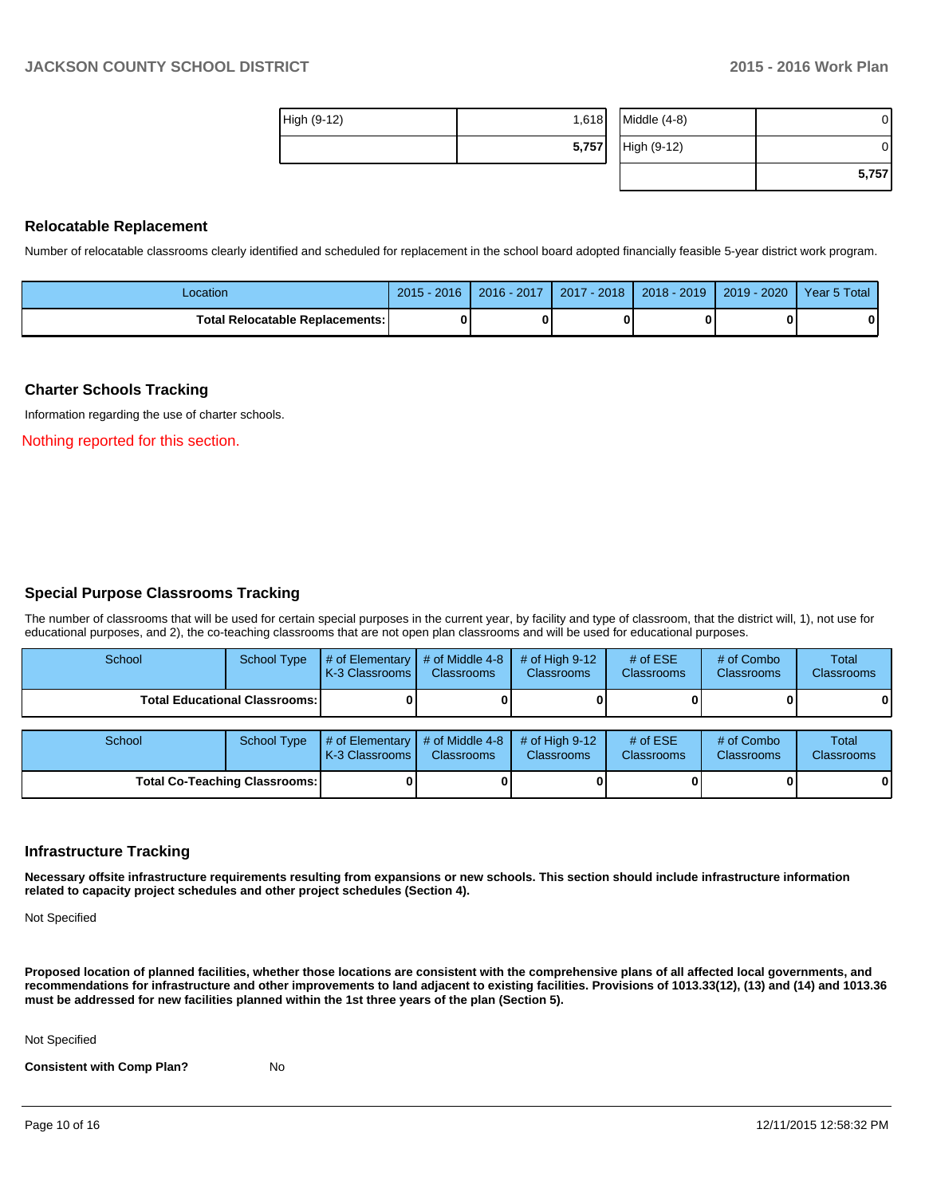| High (9-12) | 1,618 | Middle $(4-8)$ |       |
|-------------|-------|----------------|-------|
|             | 5,757 | High (9-12)    |       |
|             |       |                | 5,757 |

#### **Relocatable Replacement**

Number of relocatable classrooms clearly identified and scheduled for replacement in the school board adopted financially feasible 5-year district work program.

| Location                                 | $-2016$<br>$2015 -$ | 2016 - 2017 | 2017 - 2018 | $2018 - 2019$ | $2019 - 2020$ | Year 5 Total |
|------------------------------------------|---------------------|-------------|-------------|---------------|---------------|--------------|
| <b>Total Relocatable Replacements: I</b> |                     | o           |             |               |               |              |

#### **Charter Schools Tracking**

Information regarding the use of charter schools.

Nothing reported for this section.

#### **Special Purpose Classrooms Tracking**

The number of classrooms that will be used for certain special purposes in the current year, by facility and type of classroom, that the district will, 1), not use for educational purposes, and 2), the co-teaching classrooms that are not open plan classrooms and will be used for educational purposes.

| School                                 | <b>School Type</b> | $#$ of Elementary<br>K-3 Classrooms I   | # of Middle 4-8<br><b>Classrooms</b> | # of High $9-12$<br><b>Classrooms</b> | # of $ESE$<br>Classrooms | # of Combo<br><b>Classrooms</b> | <b>Total</b><br><b>Classrooms</b> |
|----------------------------------------|--------------------|-----------------------------------------|--------------------------------------|---------------------------------------|--------------------------|---------------------------------|-----------------------------------|
| <b>Total Educational Classrooms: I</b> |                    |                                         |                                      |                                       |                          |                                 |                                   |
| School                                 | <b>School Type</b> | $\#$ of Elementary<br>LK-3 Classrooms I | # of Middle 4-8<br><b>Classrooms</b> | # of High $9-12$<br><b>Classrooms</b> | # of $ESE$<br>Classrooms | # of Combo<br><b>Classrooms</b> | Total<br>Classrooms               |
| <b>Total Co-Teaching Classrooms:</b>   |                    |                                         |                                      |                                       |                          |                                 | 01                                |

#### **Infrastructure Tracking**

**Necessary offsite infrastructure requirements resulting from expansions or new schools. This section should include infrastructure information related to capacity project schedules and other project schedules (Section 4).**

Not Specified

**Proposed location of planned facilities, whether those locations are consistent with the comprehensive plans of all affected local governments, and recommendations for infrastructure and other improvements to land adjacent to existing facilities. Provisions of 1013.33(12), (13) and (14) and 1013.36 must be addressed for new facilities planned within the 1st three years of the plan (Section 5).**

Not Specified

**Consistent with Comp Plan?** No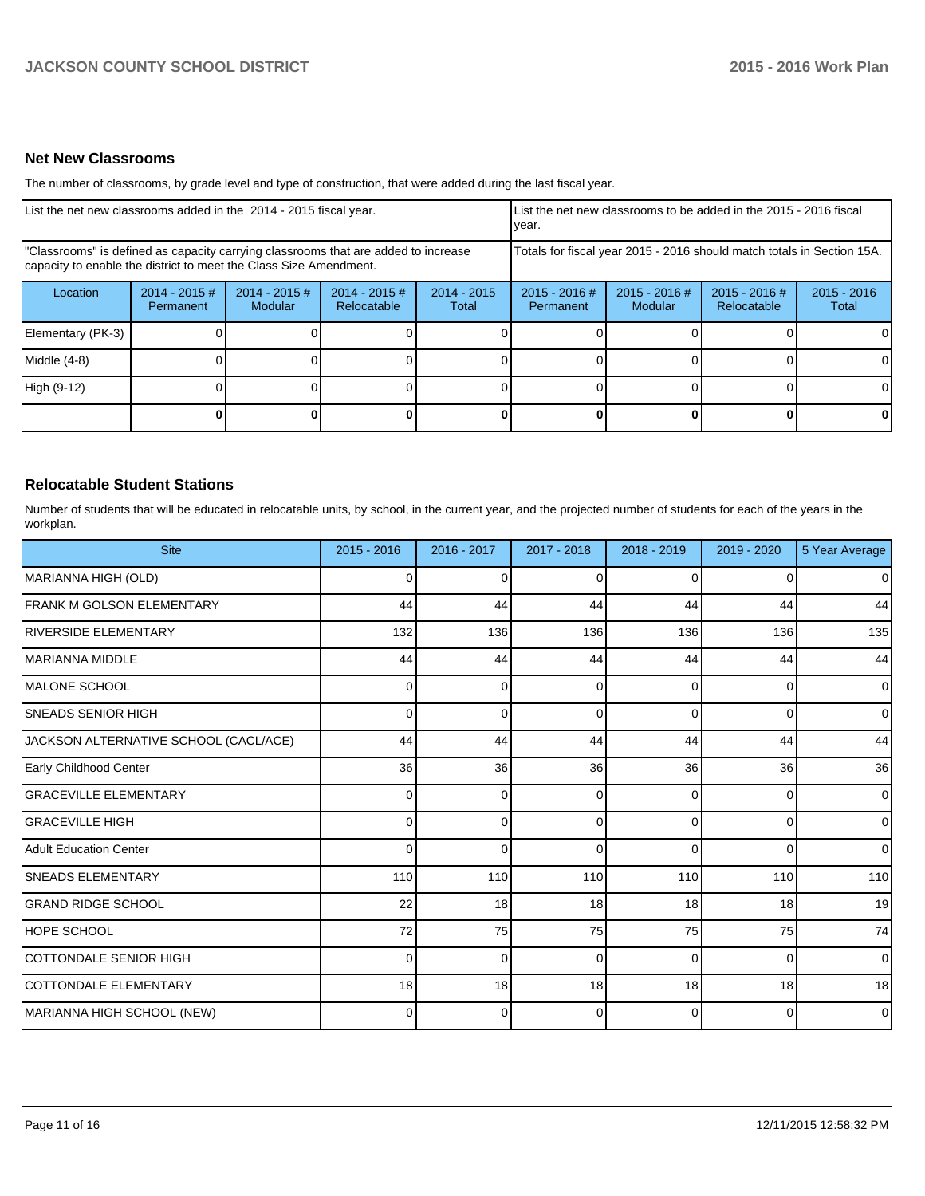## **Net New Classrooms**

The number of classrooms, by grade level and type of construction, that were added during the last fiscal year.

| List the net new classrooms added in the 2014 - 2015 fiscal year.                                                                                       |                              |                          | List the net new classrooms to be added in the 2015 - 2016 fiscal<br>Ivear. |                                                                        |                              |                          |                                |                        |
|---------------------------------------------------------------------------------------------------------------------------------------------------------|------------------------------|--------------------------|-----------------------------------------------------------------------------|------------------------------------------------------------------------|------------------------------|--------------------------|--------------------------------|------------------------|
| "Classrooms" is defined as capacity carrying classrooms that are added to increase<br>capacity to enable the district to meet the Class Size Amendment. |                              |                          |                                                                             | Totals for fiscal year 2015 - 2016 should match totals in Section 15A. |                              |                          |                                |                        |
| Location                                                                                                                                                | $2014 - 2015$ #<br>Permanent | 2014 - 2015 #<br>Modular | $2014 - 2015$ #<br>Relocatable                                              | $2014 - 2015$<br>Total                                                 | $2015 - 2016$ #<br>Permanent | 2015 - 2016 #<br>Modular | $2015 - 2016$ #<br>Relocatable | $2015 - 2016$<br>Total |
| Elementary (PK-3)                                                                                                                                       |                              |                          |                                                                             |                                                                        |                              |                          |                                | ΟI                     |
| Middle (4-8)                                                                                                                                            |                              |                          |                                                                             |                                                                        |                              |                          |                                | $\Omega$               |
| High (9-12)                                                                                                                                             |                              |                          |                                                                             |                                                                        |                              |                          |                                | $\Omega$               |
|                                                                                                                                                         |                              |                          |                                                                             |                                                                        |                              |                          | 0                              | $\mathbf{0}$           |

# **Relocatable Student Stations**

Number of students that will be educated in relocatable units, by school, in the current year, and the projected number of students for each of the years in the workplan.

| <b>Site</b>                           | $2015 - 2016$ | 2016 - 2017 | 2017 - 2018 | 2018 - 2019 | 2019 - 2020 | 5 Year Average |
|---------------------------------------|---------------|-------------|-------------|-------------|-------------|----------------|
| MARIANNA HIGH (OLD)                   | 0             | $\Omega$    | 0           | $\Omega$    | U           | $\overline{0}$ |
| <b>FRANK M GOLSON ELEMENTARY</b>      | 44            | 44          | 44          | 44          | 44          | 44             |
| <b>RIVERSIDE ELEMENTARY</b>           | 132           | 136         | 136         | 136         | 136         | 135            |
| MARIANNA MIDDLE                       | 44            | 44          | 44          | 44          | 44          | 44             |
| IMALONE SCHOOL                        | 0             | 0           | 0           | $\Omega$    | $\Omega$    | $\overline{0}$ |
| <b>SNEADS SENIOR HIGH</b>             | 0             | 0           | $\Omega$    | $\Omega$    | 0           | $\overline{0}$ |
| JACKSON ALTERNATIVE SCHOOL (CACL/ACE) | 44            | 44          | 44          | 44          | 44          | 44             |
| Early Childhood Center                | 36            | 36          | 36          | 36          | 36          | 36             |
| <b>GRACEVILLE ELEMENTARY</b>          | 0             | 0           | $\Omega$    | $\Omega$    | $\Omega$    | $\overline{0}$ |
| <b>GRACEVILLE HIGH</b>                | 0             | 0           | ∩           | $\Omega$    | 0           | $\overline{0}$ |
| <b>Adult Education Center</b>         | $\Omega$      | $\Omega$    | 0           | $\Omega$    | 0           | $\overline{0}$ |
| <b>SNEADS ELEMENTARY</b>              | 110           | 110         | 110         | 110         | 110         | 110            |
| <b>GRAND RIDGE SCHOOL</b>             | 22            | 18          | 18          | 18          | 18          | 19             |
| <b>HOPE SCHOOL</b>                    | 72            | 75          | 75          | 75          | 75          | 74             |
| <b>COTTONDALE SENIOR HIGH</b>         | $\Omega$      | 0           | $\Omega$    | $\Omega$    | $\Omega$    | $\overline{0}$ |
| <b>COTTONDALE ELEMENTARY</b>          | 18            | 18          | 18          | 18          | 18          | 18             |
| MARIANNA HIGH SCHOOL (NEW)            | 0             | 0           | 0           | $\Omega$    | 0           | $\overline{0}$ |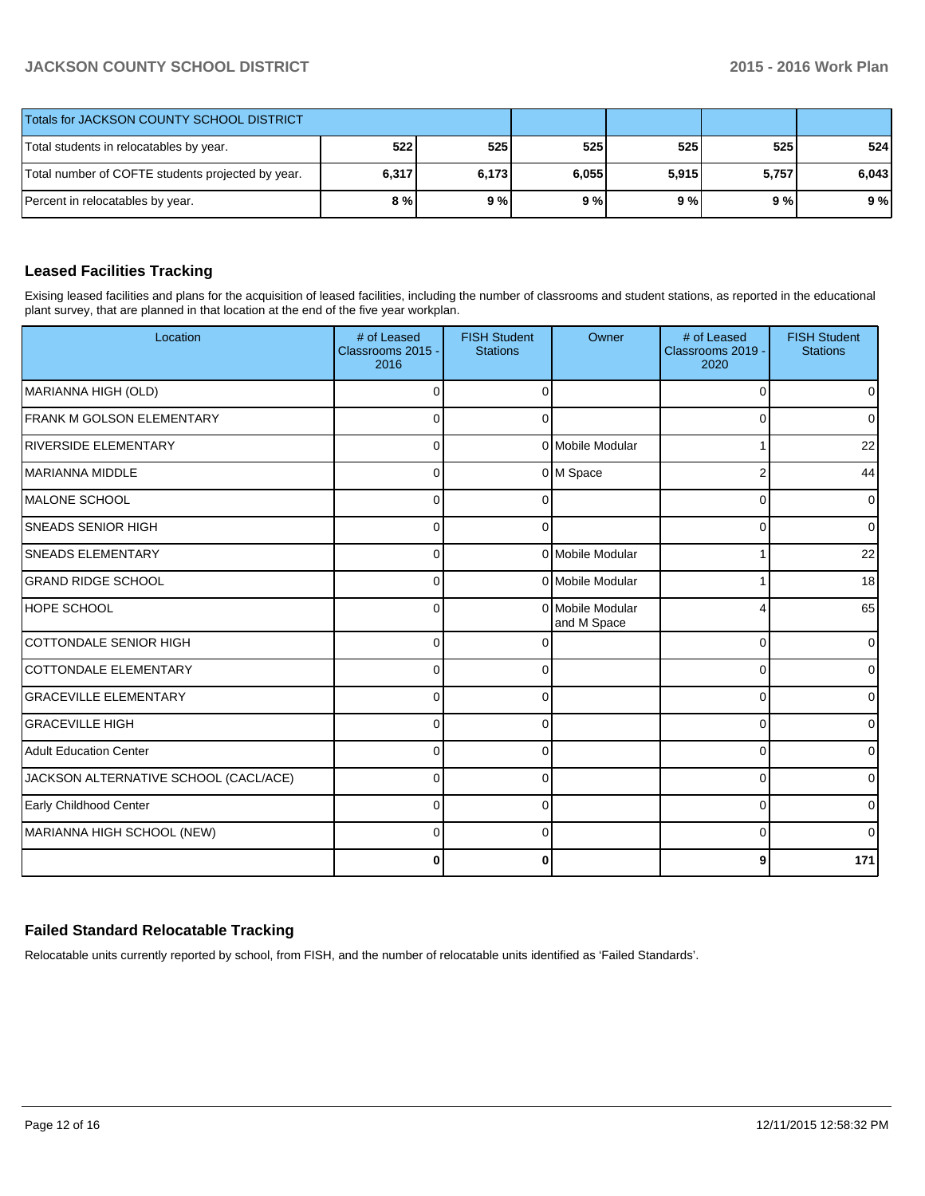# **JACKSON COUNTY SCHOOL DISTRICT 2015 - 2016 Work Plan**

| Totals for JACKSON COUNTY SCHOOL DISTRICT         |       |       |       |       |       |       |
|---------------------------------------------------|-------|-------|-------|-------|-------|-------|
| Total students in relocatables by year.           | 522   | 525   | 525   | 525   | 525   | 524   |
| Total number of COFTE students projected by year. | 6,317 | 6,173 | 6,055 | 5,915 | 5.757 | 6,043 |
| Percent in relocatables by year.                  | 8 % l | 9%    | 9%    | 9%    | 9%    | 9%    |

# **Leased Facilities Tracking**

Exising leased facilities and plans for the acquisition of leased facilities, including the number of classrooms and student stations, as reported in the educational plant survey, that are planned in that location at the end of the five year workplan.

| Location                              | # of Leased<br>Classrooms 2015 -<br>2016 | <b>FISH Student</b><br><b>Stations</b> | Owner                           | # of Leased<br>Classrooms 2019 -<br>2020 | <b>FISH Student</b><br><b>Stations</b> |
|---------------------------------------|------------------------------------------|----------------------------------------|---------------------------------|------------------------------------------|----------------------------------------|
| MARIANNA HIGH (OLD)                   | $\Omega$                                 | $\Omega$                               |                                 | 0                                        | $\overline{0}$                         |
| FRANK M GOLSON ELEMENTARY             | $\Omega$                                 | 0                                      |                                 | $\Omega$                                 | $\overline{0}$                         |
| <b>RIVERSIDE ELEMENTARY</b>           | 0                                        |                                        | 0 Mobile Modular                |                                          | 22                                     |
| <b>MARIANNA MIDDLE</b>                | 0                                        |                                        | 0 M Space                       | 2                                        | 44                                     |
| IMALONE SCHOOL                        | $\Omega$                                 |                                        |                                 | 0                                        | $\overline{0}$                         |
| <b>SNEADS SENIOR HIGH</b>             | $\Omega$                                 |                                        |                                 | 0                                        | $\overline{0}$                         |
| <b>SNEADS ELEMENTARY</b>              | $\Omega$                                 |                                        | 0 Mobile Modular                |                                          | 22                                     |
| <b>GRAND RIDGE SCHOOL</b>             | $\Omega$                                 |                                        | 0 Mobile Modular                |                                          | 18                                     |
| <b>HOPE SCHOOL</b>                    | $\Omega$                                 |                                        | 0 Mobile Modular<br>and M Space | 4                                        | 65                                     |
| <b>COTTONDALE SENIOR HIGH</b>         | $\Omega$                                 |                                        |                                 | $\Omega$                                 | $\overline{0}$                         |
| COTTONDALE ELEMENTARY                 | $\Omega$                                 | $\Omega$                               |                                 | 0                                        | $\overline{0}$                         |
| <b>GRACEVILLE ELEMENTARY</b>          | $\Omega$                                 | $\Omega$                               |                                 | 0                                        | $\overline{0}$                         |
| <b>GRACEVILLE HIGH</b>                | $\Omega$                                 | 0                                      |                                 | 0                                        | ٥I                                     |
| <b>Adult Education Center</b>         | $\Omega$                                 | 0                                      |                                 | 0                                        | $\overline{0}$                         |
| JACKSON ALTERNATIVE SCHOOL (CACL/ACE) | $\Omega$                                 | ∩                                      |                                 | $\Omega$                                 | $\overline{0}$                         |
| Early Childhood Center                | $\Omega$                                 |                                        |                                 | $\Omega$                                 | 01                                     |
| MARIANNA HIGH SCHOOL (NEW)            | $\Omega$                                 | ∩                                      |                                 | $\Omega$                                 | Οl                                     |
|                                       | $\Omega$                                 | 0                                      |                                 | 9                                        | 171                                    |

# **Failed Standard Relocatable Tracking**

Relocatable units currently reported by school, from FISH, and the number of relocatable units identified as 'Failed Standards'.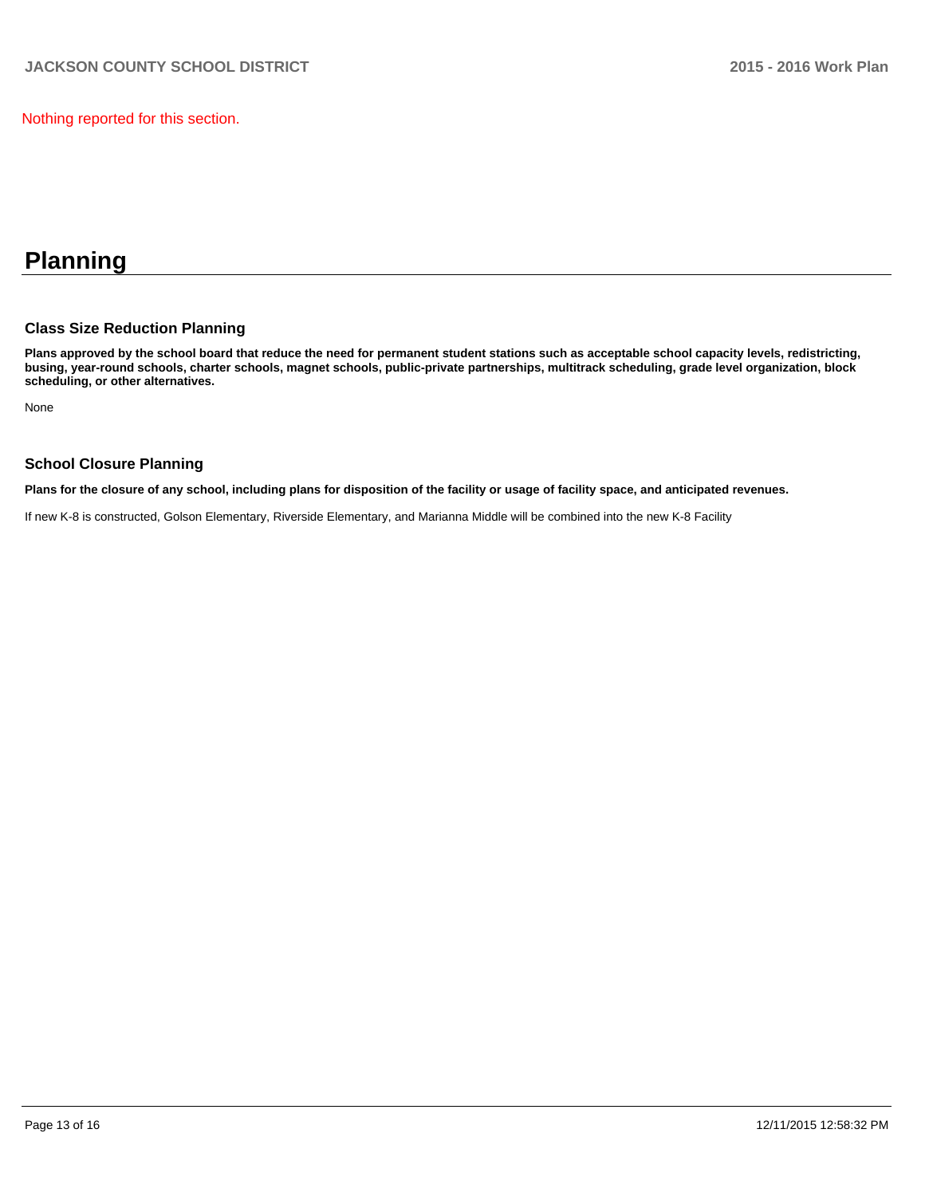Nothing reported for this section.

# **Planning**

# **Class Size Reduction Planning**

**Plans approved by the school board that reduce the need for permanent student stations such as acceptable school capacity levels, redistricting, busing, year-round schools, charter schools, magnet schools, public-private partnerships, multitrack scheduling, grade level organization, block scheduling, or other alternatives.**

None

# **School Closure Planning**

**Plans for the closure of any school, including plans for disposition of the facility or usage of facility space, and anticipated revenues.**

If new K-8 is constructed, Golson Elementary, Riverside Elementary, and Marianna Middle will be combined into the new K-8 Facility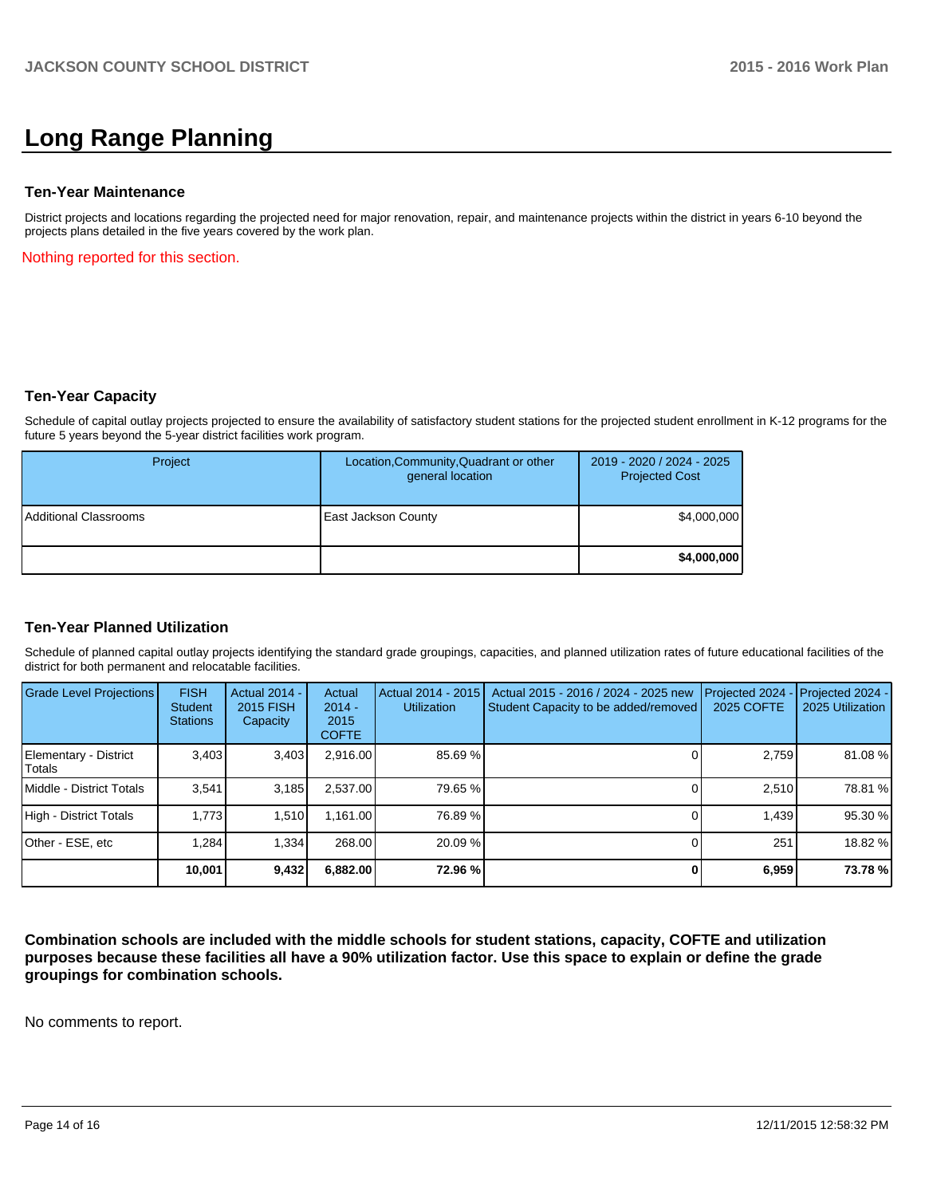# **Long Range Planning**

#### **Ten-Year Maintenance**

District projects and locations regarding the projected need for major renovation, repair, and maintenance projects within the district in years 6-10 beyond the projects plans detailed in the five years covered by the work plan.

Nothing reported for this section.

### **Ten-Year Capacity**

Schedule of capital outlay projects projected to ensure the availability of satisfactory student stations for the projected student enrollment in K-12 programs for the future 5 years beyond the 5-year district facilities work program.

| Project               | Location, Community, Quadrant or other<br>general location | 2019 - 2020 / 2024 - 2025<br><b>Projected Cost</b> |
|-----------------------|------------------------------------------------------------|----------------------------------------------------|
| Additional Classrooms | East Jackson County                                        | \$4,000,000                                        |
|                       |                                                            | \$4,000,000                                        |

### **Ten-Year Planned Utilization**

Schedule of planned capital outlay projects identifying the standard grade groupings, capacities, and planned utilization rates of future educational facilities of the district for both permanent and relocatable facilities.

| <b>Grade Level Projections</b>  | <b>FISH</b><br><b>Student</b><br><b>Stations</b> | <b>Actual 2014 -</b><br>2015 FISH<br>Capacity | Actual<br>$2014 -$<br>2015<br><b>COFTE</b> | Actual 2014 - 2015<br>Utilization | Actual 2015 - 2016 / 2024 - 2025 new<br>Student Capacity to be added/removed | Projected 2024<br>2025 COFTE | Projected 2024 -<br>2025 Utilization |
|---------------------------------|--------------------------------------------------|-----------------------------------------------|--------------------------------------------|-----------------------------------|------------------------------------------------------------------------------|------------------------------|--------------------------------------|
| Elementary - District<br>Totals | 3,403                                            | 3,403                                         | 2,916.00                                   | 85.69 %                           |                                                                              | 2,759                        | 81.08%                               |
| Middle - District Totals        | 3.541                                            | 3.185                                         | 2.537.00                                   | 79.65 %                           |                                                                              | 2.510                        | 78.81 %                              |
| High - District Totals          | 1.773                                            | 1.510                                         | 1.161.00                                   | 76.89 %                           |                                                                              | 1.439                        | 95.30 %                              |
| Other - ESE, etc                | 1.284                                            | 1.334                                         | 268.00                                     | 20.09%                            |                                                                              | 251                          | 18.82 %                              |
|                                 | 10.001                                           | 9,432                                         | 6,882.00                                   | 72.96 %                           |                                                                              | 6,959                        | 73.78%                               |

**Combination schools are included with the middle schools for student stations, capacity, COFTE and utilization purposes because these facilities all have a 90% utilization factor. Use this space to explain or define the grade groupings for combination schools.**

No comments to report.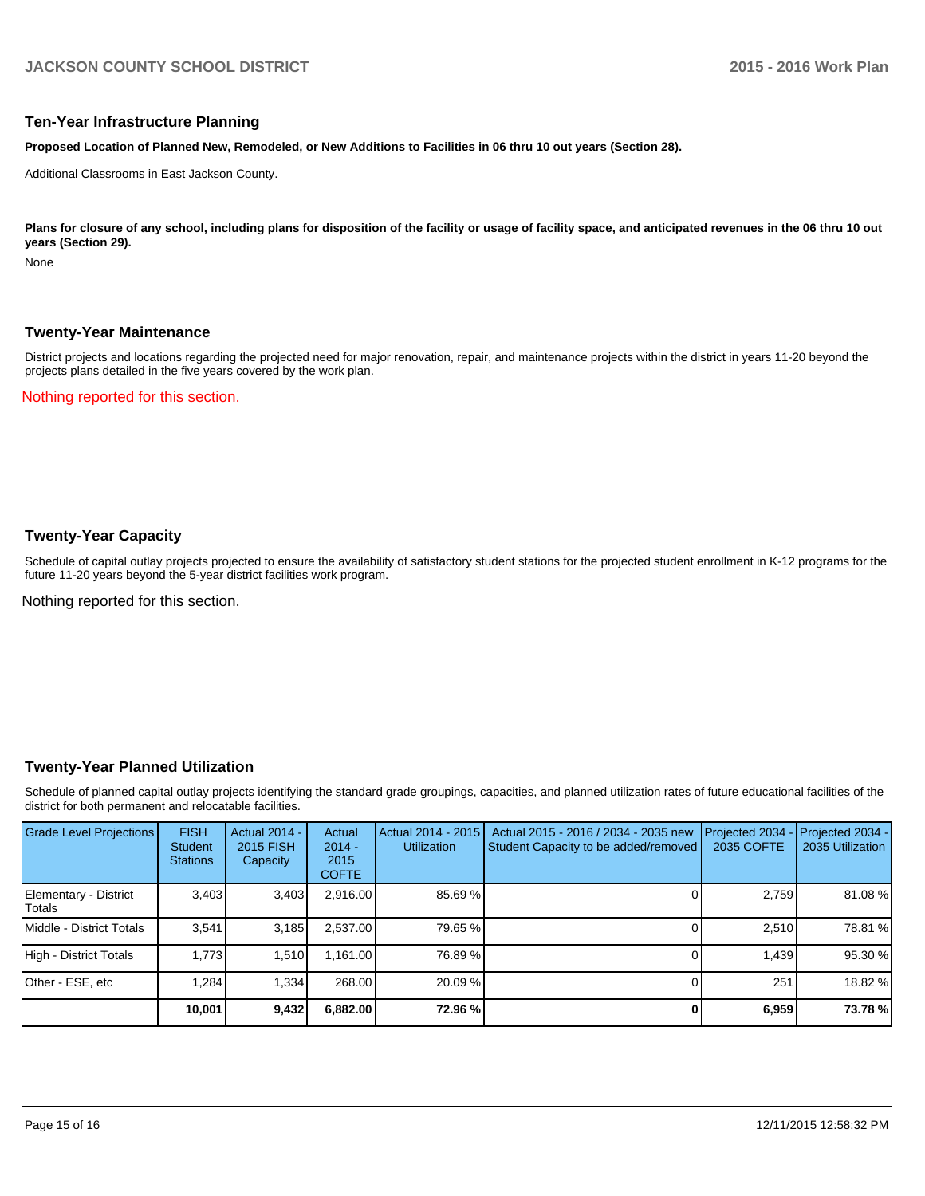#### **Ten-Year Infrastructure Planning**

**Proposed Location of Planned New, Remodeled, or New Additions to Facilities in 06 thru 10 out years (Section 28).**

Additional Classrooms in East Jackson County.

Plans for closure of any school, including plans for disposition of the facility or usage of facility space, and anticipated revenues in the 06 thru 10 out **years (Section 29).**

None

#### **Twenty-Year Maintenance**

District projects and locations regarding the projected need for major renovation, repair, and maintenance projects within the district in years 11-20 beyond the projects plans detailed in the five years covered by the work plan.

Nothing reported for this section.

# **Twenty-Year Capacity**

Schedule of capital outlay projects projected to ensure the availability of satisfactory student stations for the projected student enrollment in K-12 programs for the future 11-20 years beyond the 5-year district facilities work program.

Nothing reported for this section.

### **Twenty-Year Planned Utilization**

Schedule of planned capital outlay projects identifying the standard grade groupings, capacities, and planned utilization rates of future educational facilities of the district for both permanent and relocatable facilities.

| <b>Grade Level Projections</b>   | <b>FISH</b><br><b>Student</b><br><b>Stations</b> | <b>Actual 2014 -</b><br>2015 FISH<br>Capacity | Actual<br>$2014 -$<br>2015<br><b>COFTE</b> | Actual 2014 - 2015<br><b>Utilization</b> | Actual 2015 - 2016 / 2034 - 2035 new<br>Student Capacity to be added/removed | Projected 2034<br>2035 COFTE | Projected 2034 -<br>2035 Utilization |
|----------------------------------|--------------------------------------------------|-----------------------------------------------|--------------------------------------------|------------------------------------------|------------------------------------------------------------------------------|------------------------------|--------------------------------------|
| Elementary - District<br> Totals | 3,403                                            | 3,403                                         | 2,916.00                                   | 85.69 %                                  |                                                                              | 2,759                        | 81.08%                               |
| <b>IMiddle - District Totals</b> | 3.541                                            | 3,185                                         | 2.537.00                                   | 79.65 %                                  |                                                                              | 2.510                        | 78.81 %                              |
| High - District Totals           | 1.773                                            | 1.510                                         | 1.161.00                                   | 76.89 %                                  |                                                                              | 1,439                        | 95.30 %                              |
| Other - ESE, etc                 | 1.284                                            | 1,334                                         | 268.00                                     | $20.09\%$                                |                                                                              | 251                          | 18.82 %                              |
|                                  | 10,001                                           | 9,432                                         | 6,882.00                                   | 72.96 %                                  |                                                                              | 6,959                        | 73.78%                               |